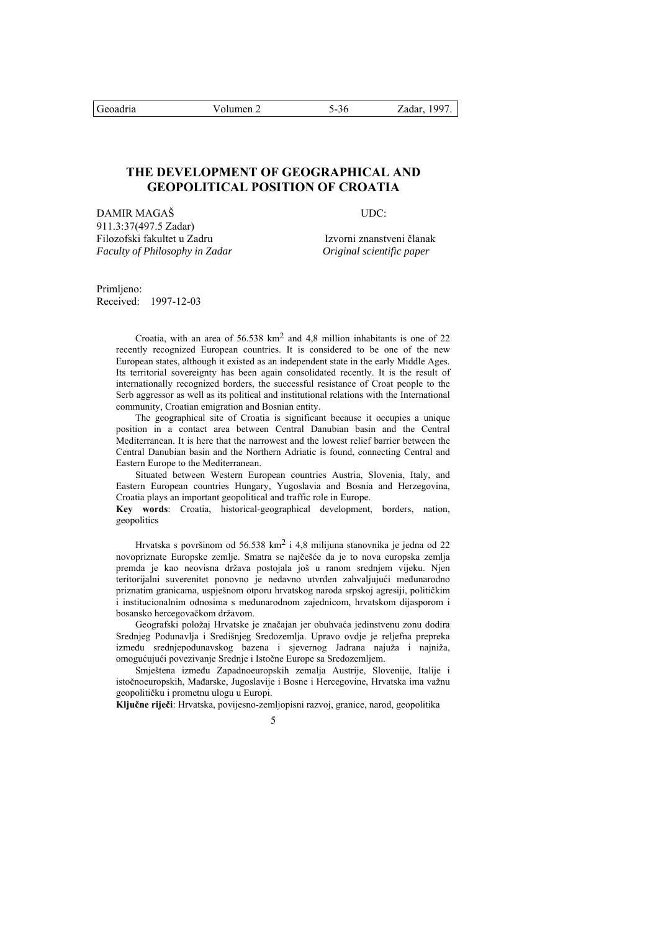# **THE DEVELOPMENT OF GEOGRAPHICAL AND GEOPOLITICAL POSITION OF CROATIA**

DAMIR MAGAŠ UDC: 911.3:37(497.5 Zadar) Filozofski fakultet u Zadru **Izvorni znanstveni članak** *Faculty of Philosophy in Zadar Original scientific paper* 

Primlieno: Received: 1997-12-03

> Croatia, with an area of  $56.538 \text{ km}^2$  and  $4.8 \text{ million inhabitants}$  is one of 22 recently recognized European countries. It is considered to be one of the new European states, although it existed as an independent state in the early Middle Ages. Its territorial sovereignty has been again consolidated recently. It is the result of internationally recognized borders, the successful resistance of Croat people to the Serb aggressor as well as its political and institutional relations with the International community, Croatian emigration and Bosnian entity.

> The geographical site of Croatia is significant because it occupies a unique position in a contact area between Central Danubian basin and the Central Mediterranean. It is here that the narrowest and the lowest relief barrier between the Central Danubian basin and the Northern Adriatic is found, connecting Central and Eastern Europe to the Mediterranean.

> Situated between Western European countries Austria, Slovenia, Italy, and Eastern European countries Hungary, Yugoslavia and Bosnia and Herzegovina, Croatia plays an important geopolitical and traffic role in Europe.

> **Key words**: Croatia, historical-geographical development, borders, nation, geopolitics

> Hrvatska s površinom od 56.538 km2 i 4,8 milijuna stanovnika je jedna od 22 novopriznate Europske zemlje. Smatra se najčešće da je to nova europska zemlja premda je kao neovisna država postojala još u ranom srednjem vijeku. Njen teritorijalni suverenitet ponovno je nedavno utvrđen zahvaljujući međunarodno priznatim granicama, uspješnom otporu hrvatskog naroda srpskoj agresiji, političkim i institucionalnim odnosima s međunarodnom zajednicom, hrvatskom dijasporom i bosansko hercegovačkom državom.

> Geografski položaj Hrvatske je značajan jer obuhvaća jedinstvenu zonu dodira Srednjeg Podunavlja i Središnjeg Sredozemlja. Upravo ovdje je reljefna prepreka između srednjepodunavskog bazena i sjevernog Jadrana najuža i najniža, omogućujući povezivanje Srednje i Istočne Europe sa Sredozemljem.

> Smještena između Zapadnoeuropskih zemalja Austrije, Slovenije, Italije i istočnoeuropskih, Mađarske, Jugoslavije i Bosne i Hercegovine, Hrvatska ima važnu geopolitičku i prometnu ulogu u Europi.

**Ključne riječi**: Hrvatska, povijesno-zemljopisni razvoj, granice, narod, geopolitika

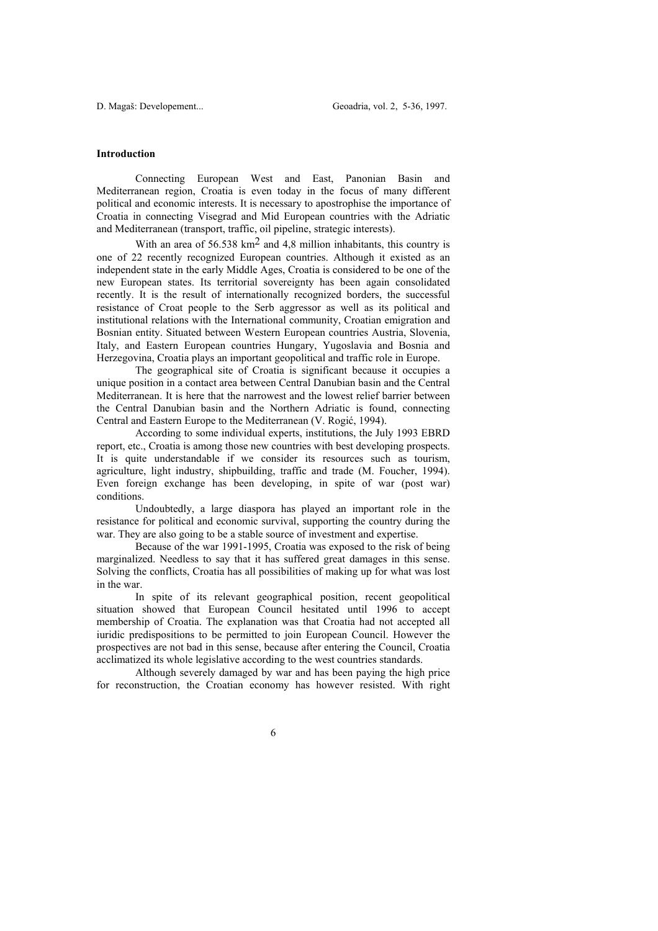#### **Introduction**

 Connecting European West and East, Panonian Basin and Mediterranean region, Croatia is even today in the focus of many different political and economic interests. It is necessary to apostrophise the importance of Croatia in connecting Visegrad and Mid European countries with the Adriatic and Mediterranean (transport, traffic, oil pipeline, strategic interests).

With an area of  $56.538 \text{ km}^2$  and 4.8 million inhabitants, this country is one of 22 recently recognized European countries. Although it existed as an independent state in the early Middle Ages, Croatia is considered to be one of the new European states. Its territorial sovereignty has been again consolidated recently. It is the result of internationally recognized borders, the successful resistance of Croat people to the Serb aggressor as well as its political and institutional relations with the International community, Croatian emigration and Bosnian entity. Situated between Western European countries Austria, Slovenia, Italy, and Eastern European countries Hungary, Yugoslavia and Bosnia and Herzegovina, Croatia plays an important geopolitical and traffic role in Europe.

 The geographical site of Croatia is significant because it occupies a unique position in a contact area between Central Danubian basin and the Central Mediterranean. It is here that the narrowest and the lowest relief barrier between the Central Danubian basin and the Northern Adriatic is found, connecting Central and Eastern Europe to the Mediterranean (V. Rogić, 1994).

 According to some individual experts, institutions, the July 1993 EBRD report, etc., Croatia is among those new countries with best developing prospects. It is quite understandable if we consider its resources such as tourism, agriculture, light industry, shipbuilding, traffic and trade (M. Foucher, 1994). Even foreign exchange has been developing, in spite of war (post war) conditions.

 Undoubtedly, a large diaspora has played an important role in the resistance for political and economic survival, supporting the country during the war. They are also going to be a stable source of investment and expertise.

 Because of the war 1991-1995, Croatia was exposed to the risk of being marginalized. Needless to say that it has suffered great damages in this sense. Solving the conflicts, Croatia has all possibilities of making up for what was lost in the war.

 In spite of its relevant geographical position, recent geopolitical situation showed that European Council hesitated until 1996 to accept membership of Croatia. The explanation was that Croatia had not accepted all iuridic predispositions to be permitted to join European Council. However the prospectives are not bad in this sense, because after entering the Council, Croatia acclimatized its whole legislative according to the west countries standards.

 Although severely damaged by war and has been paying the high price for reconstruction, the Croatian economy has however resisted. With right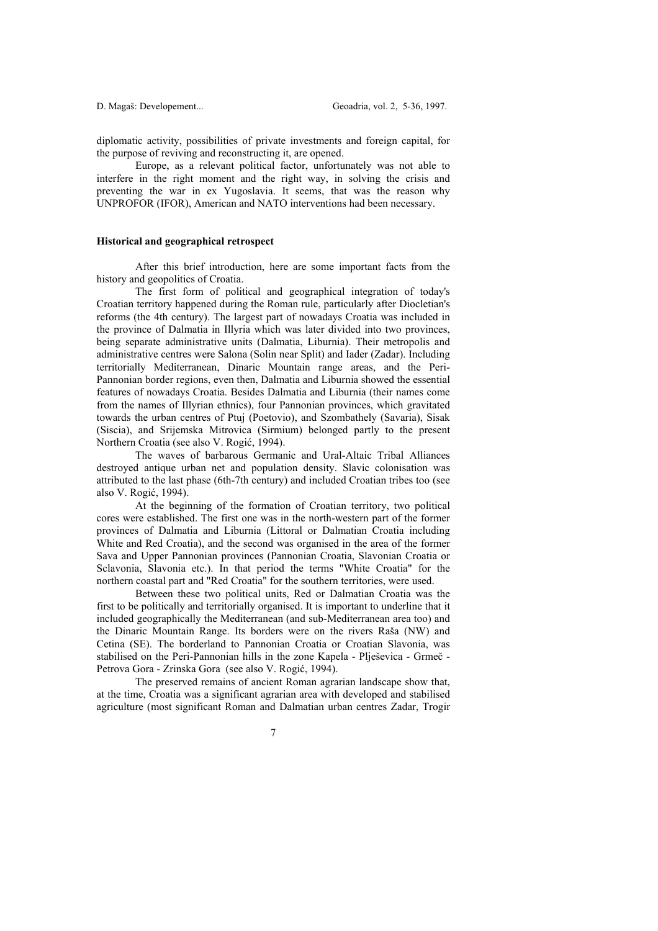diplomatic activity, possibilities of private investments and foreign capital, for the purpose of reviving and reconstructing it, are opened.

 Europe, as a relevant political factor, unfortunately was not able to interfere in the right moment and the right way, in solving the crisis and preventing the war in ex Yugoslavia. It seems, that was the reason why UNPROFOR (IFOR), American and NATO interventions had been necessary.

#### **Historical and geographical retrospect**

 After this brief introduction, here are some important facts from the history and geopolitics of Croatia.

 The first form of political and geographical integration of today's Croatian territory happened during the Roman rule, particularly after Diocletian's reforms (the 4th century). The largest part of nowadays Croatia was included in the province of Dalmatia in Illyria which was later divided into two provinces, being separate administrative units (Dalmatia, Liburnia). Their metropolis and administrative centres were Salona (Solin near Split) and Iader (Zadar). Including territorially Mediterranean, Dinaric Mountain range areas, and the Peri-Pannonian border regions, even then, Dalmatia and Liburnia showed the essential features of nowadays Croatia. Besides Dalmatia and Liburnia (their names come from the names of Illyrian ethnics), four Pannonian provinces, which gravitated towards the urban centres of Ptuj (Poetovio), and Szombathely (Savaria), Sisak (Siscia), and Srijemska Mitrovica (Sirmium) belonged partly to the present Northern Croatia (see also V. Rogić, 1994).

 The waves of barbarous Germanic and Ural-Altaic Tribal Alliances destroyed antique urban net and population density. Slavic colonisation was attributed to the last phase (6th-7th century) and included Croatian tribes too (see also V. Rogić, 1994).

 At the beginning of the formation of Croatian territory, two political cores were established. The first one was in the north-western part of the former provinces of Dalmatia and Liburnia (Littoral or Dalmatian Croatia including White and Red Croatia), and the second was organised in the area of the former Sava and Upper Pannonian provinces (Pannonian Croatia, Slavonian Croatia or Sclavonia, Slavonia etc.). In that period the terms "White Croatia" for the northern coastal part and "Red Croatia" for the southern territories, were used.

 Between these two political units, Red or Dalmatian Croatia was the first to be politically and territorially organised. It is important to underline that it included geographically the Mediterranean (and sub-Mediterranean area too) and the Dinaric Mountain Range. Its borders were on the rivers Raša (NW) and Cetina (SE). The borderland to Pannonian Croatia or Croatian Slavonia, was stabilised on the Peri-Pannonian hills in the zone Kapela - Plješevica - Grmeč - Petrova Gora - Zrinska Gora (see also V. Rogić, 1994).

 The preserved remains of ancient Roman agrarian landscape show that, at the time, Croatia was a significant agrarian area with developed and stabilised agriculture (most significant Roman and Dalmatian urban centres Zadar, Trogir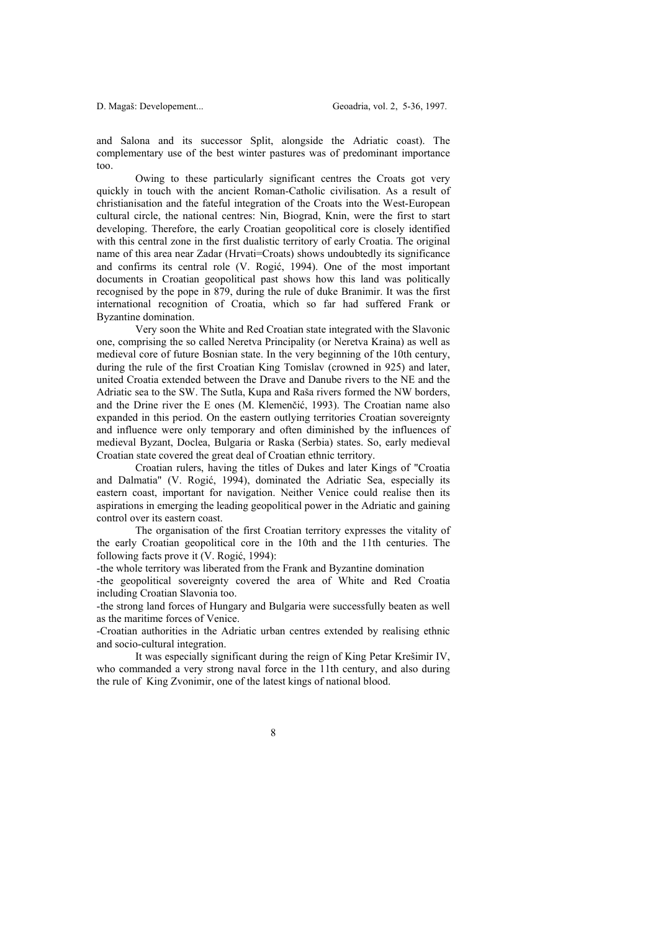and Salona and its successor Split, alongside the Adriatic coast). The complementary use of the best winter pastures was of predominant importance too.

 Owing to these particularly significant centres the Croats got very quickly in touch with the ancient Roman-Catholic civilisation. As a result of christianisation and the fateful integration of the Croats into the West-European cultural circle, the national centres: Nin, Biograd, Knin, were the first to start developing. Therefore, the early Croatian geopolitical core is closely identified with this central zone in the first dualistic territory of early Croatia. The original name of this area near Zadar (Hrvati=Croats) shows undoubtedly its significance and confirms its central role (V. Rogić, 1994). One of the most important documents in Croatian geopolitical past shows how this land was politically recognised by the pope in 879, during the rule of duke Branimir. It was the first international recognition of Croatia, which so far had suffered Frank or Byzantine domination.

 Very soon the White and Red Croatian state integrated with the Slavonic one, comprising the so called Neretva Principality (or Neretva Kraina) as well as medieval core of future Bosnian state. In the very beginning of the 10th century, during the rule of the first Croatian King Tomislav (crowned in 925) and later, united Croatia extended between the Drave and Danube rivers to the NE and the Adriatic sea to the SW. The Sutla, Kupa and Raša rivers formed the NW borders, and the Drine river the E ones (M. Klemenčić, 1993). The Croatian name also expanded in this period. On the eastern outlying territories Croatian sovereignty and influence were only temporary and often diminished by the influences of medieval Byzant, Doclea, Bulgaria or Raska (Serbia) states. So, early medieval Croatian state covered the great deal of Croatian ethnic territory.

 Croatian rulers, having the titles of Dukes and later Kings of "Croatia and Dalmatia" (V. Rogić, 1994), dominated the Adriatic Sea, especially its eastern coast, important for navigation. Neither Venice could realise then its aspirations in emerging the leading geopolitical power in the Adriatic and gaining control over its eastern coast.

 The organisation of the first Croatian territory expresses the vitality of the early Croatian geopolitical core in the 10th and the 11th centuries. The following facts prove it (V. Rogić, 1994):

-the whole territory was liberated from the Frank and Byzantine domination

-the geopolitical sovereignty covered the area of White and Red Croatia including Croatian Slavonia too.

-the strong land forces of Hungary and Bulgaria were successfully beaten as well as the maritime forces of Venice.

-Croatian authorities in the Adriatic urban centres extended by realising ethnic and socio-cultural integration.

 It was especially significant during the reign of King Petar Krešimir IV, who commanded a very strong naval force in the 11th century, and also during the rule of King Zvonimir, one of the latest kings of national blood.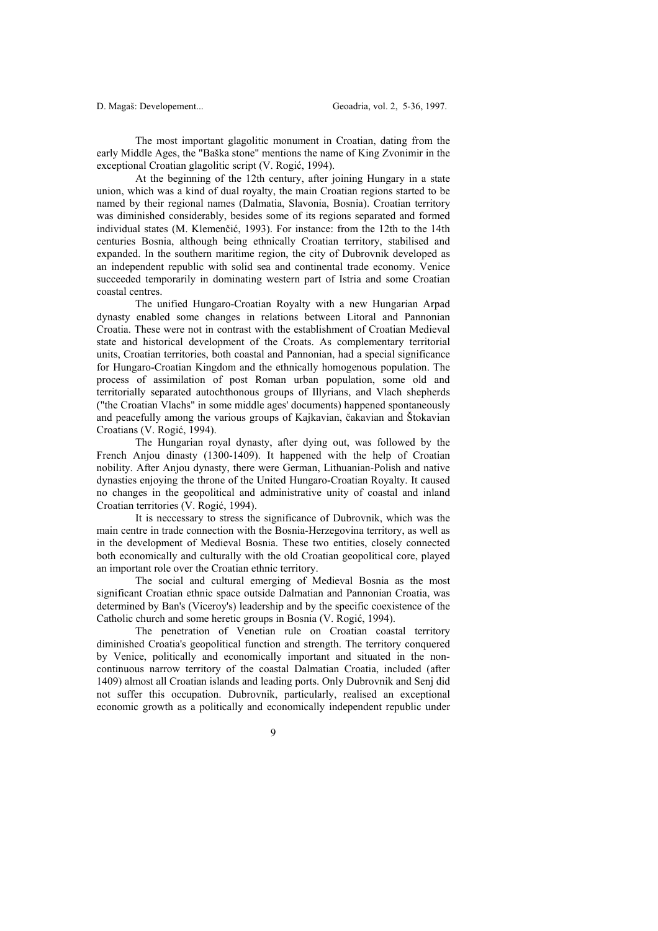The most important glagolitic monument in Croatian, dating from the early Middle Ages, the "Baška stone" mentions the name of King Zvonimir in the exceptional Croatian glagolitic script (V. Rogić, 1994).

 At the beginning of the 12th century, after joining Hungary in a state union, which was a kind of dual royalty, the main Croatian regions started to be named by their regional names (Dalmatia, Slavonia, Bosnia). Croatian territory was diminished considerably, besides some of its regions separated and formed individual states (M. Klemenčić, 1993). For instance: from the 12th to the 14th centuries Bosnia, although being ethnically Croatian territory, stabilised and expanded. In the southern maritime region, the city of Dubrovnik developed as an independent republic with solid sea and continental trade economy. Venice succeeded temporarily in dominating western part of Istria and some Croatian coastal centres.

 The unified Hungaro-Croatian Royalty with a new Hungarian Arpad dynasty enabled some changes in relations between Litoral and Pannonian Croatia. These were not in contrast with the establishment of Croatian Medieval state and historical development of the Croats. As complementary territorial units, Croatian territories, both coastal and Pannonian, had a special significance for Hungaro-Croatian Kingdom and the ethnically homogenous population. The process of assimilation of post Roman urban population, some old and territorially separated autochthonous groups of Illyrians, and Vlach shepherds ("the Croatian Vlachs" in some middle ages' documents) happened spontaneously and peacefully among the various groups of Kajkavian, čakavian and Štokavian Croatians (V. Rogić, 1994).

 The Hungarian royal dynasty, after dying out, was followed by the French Anjou dinasty (1300-1409). It happened with the help of Croatian nobility. After Anjou dynasty, there were German, Lithuanian-Polish and native dynasties enjoying the throne of the United Hungaro-Croatian Royalty. It caused no changes in the geopolitical and administrative unity of coastal and inland Croatian territories (V. Rogić, 1994).

 It is neccessary to stress the significance of Dubrovnik, which was the main centre in trade connection with the Bosnia-Herzegovina territory, as well as in the development of Medieval Bosnia. These two entities, closely connected both economically and culturally with the old Croatian geopolitical core, played an important role over the Croatian ethnic territory.

 The social and cultural emerging of Medieval Bosnia as the most significant Croatian ethnic space outside Dalmatian and Pannonian Croatia, was determined by Ban's (Viceroy's) leadership and by the specific coexistence of the Catholic church and some heretic groups in Bosnia (V. Rogić, 1994).

 The penetration of Venetian rule on Croatian coastal territory diminished Croatia's geopolitical function and strength. The territory conquered by Venice, politically and economically important and situated in the noncontinuous narrow territory of the coastal Dalmatian Croatia, included (after 1409) almost all Croatian islands and leading ports. Only Dubrovnik and Senj did not suffer this occupation. Dubrovnik, particularly, realised an exceptional economic growth as a politically and economically independent republic under

 $\overline{Q}$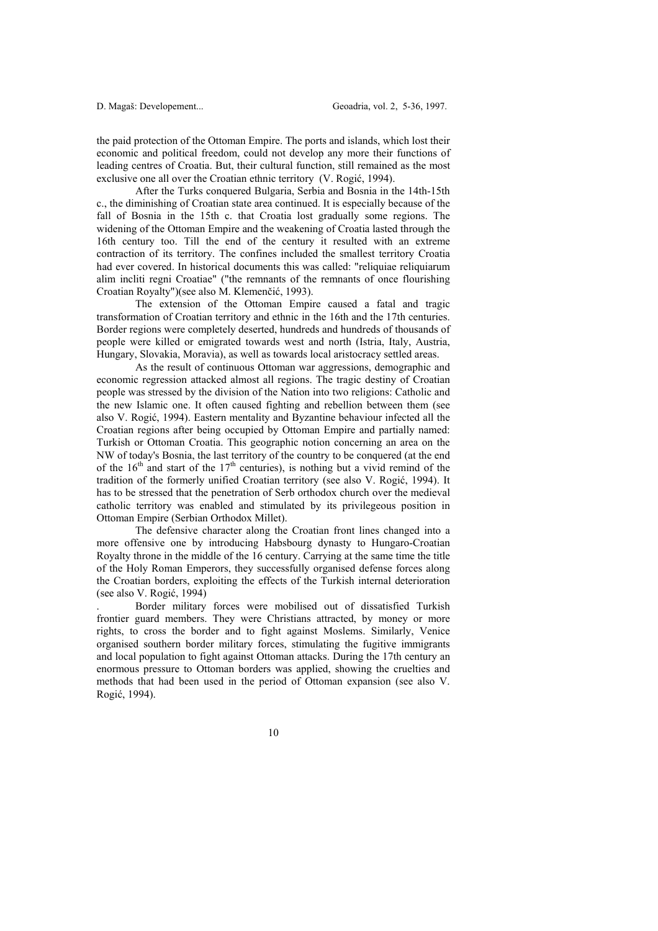the paid protection of the Ottoman Empire. The ports and islands, which lost their economic and political freedom, could not develop any more their functions of leading centres of Croatia. But, their cultural function, still remained as the most exclusive one all over the Croatian ethnic territory (V. Rogić, 1994).

 After the Turks conquered Bulgaria, Serbia and Bosnia in the 14th-15th c., the diminishing of Croatian state area continued. It is especially because of the fall of Bosnia in the 15th c. that Croatia lost gradually some regions. The widening of the Ottoman Empire and the weakening of Croatia lasted through the 16th century too. Till the end of the century it resulted with an extreme contraction of its territory. The confines included the smallest territory Croatia had ever covered. In historical documents this was called: "reliquiae reliquiarum alim incliti regni Croatiae" ("the remnants of the remnants of once flourishing Croatian Royalty")(see also M. Klemenčić, 1993).

 The extension of the Ottoman Empire caused a fatal and tragic transformation of Croatian territory and ethnic in the 16th and the 17th centuries. Border regions were completely deserted, hundreds and hundreds of thousands of people were killed or emigrated towards west and north (Istria, Italy, Austria, Hungary, Slovakia, Moravia), as well as towards local aristocracy settled areas.

 As the result of continuous Ottoman war aggressions, demographic and economic regression attacked almost all regions. The tragic destiny of Croatian people was stressed by the division of the Nation into two religions: Catholic and the new Islamic one. It often caused fighting and rebellion between them (see also V. Rogić, 1994). Eastern mentality and Byzantine behaviour infected all the Croatian regions after being occupied by Ottoman Empire and partially named: Turkish or Ottoman Croatia. This geographic notion concerning an area on the NW of today's Bosnia, the last territory of the country to be conquered (at the end of the  $16<sup>th</sup>$  and start of the  $17<sup>th</sup>$  centuries), is nothing but a vivid remind of the tradition of the formerly unified Croatian territory (see also V. Rogić, 1994). It has to be stressed that the penetration of Serb orthodox church over the medieval catholic territory was enabled and stimulated by its privilegeous position in Ottoman Empire (Serbian Orthodox Millet).

 The defensive character along the Croatian front lines changed into a more offensive one by introducing Habsbourg dynasty to Hungaro-Croatian Royalty throne in the middle of the 16 century. Carrying at the same time the title of the Holy Roman Emperors, they successfully organised defense forces along the Croatian borders, exploiting the effects of the Turkish internal deterioration (see also V. Rogić, 1994)

. Border military forces were mobilised out of dissatisfied Turkish frontier guard members. They were Christians attracted, by money or more rights, to cross the border and to fight against Moslems. Similarly, Venice organised southern border military forces, stimulating the fugitive immigrants and local population to fight against Ottoman attacks. During the 17th century an enormous pressure to Ottoman borders was applied, showing the cruelties and methods that had been used in the period of Ottoman expansion (see also V. Rogić, 1994).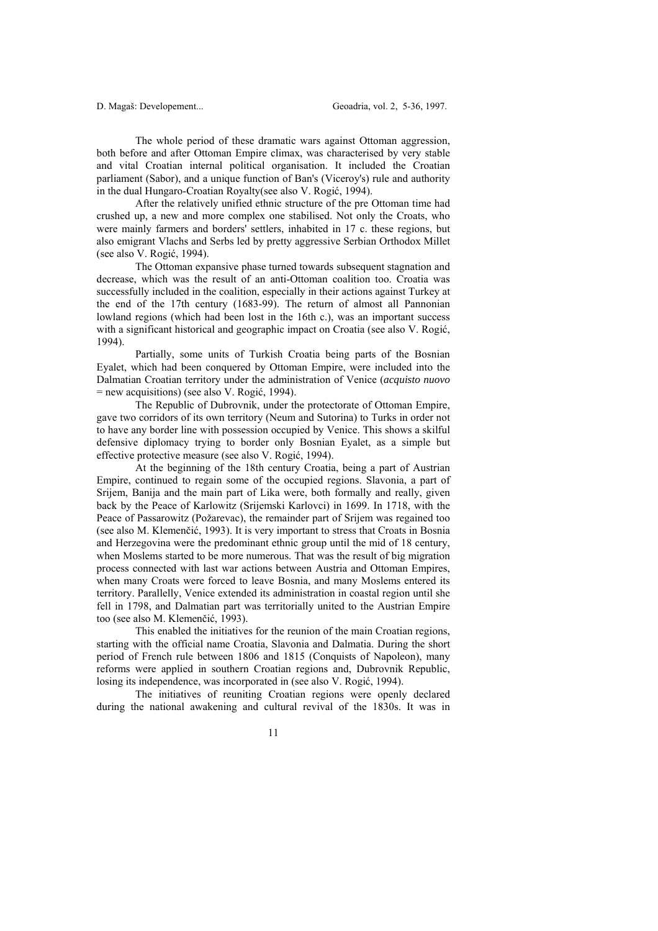The whole period of these dramatic wars against Ottoman aggression, both before and after Ottoman Empire climax, was characterised by very stable and vital Croatian internal political organisation. It included the Croatian parliament (Sabor), and a unique function of Ban's (Viceroy's) rule and authority in the dual Hungaro-Croatian Royalty(see also V. Rogić, 1994).

 After the relatively unified ethnic structure of the pre Ottoman time had crushed up, a new and more complex one stabilised. Not only the Croats, who were mainly farmers and borders' settlers, inhabited in 17 c. these regions, but also emigrant Vlachs and Serbs led by pretty aggressive Serbian Orthodox Millet (see also V. Rogić, 1994).

 The Ottoman expansive phase turned towards subsequent stagnation and decrease, which was the result of an anti-Ottoman coalition too. Croatia was successfully included in the coalition, especially in their actions against Turkey at the end of the 17th century (1683-99). The return of almost all Pannonian lowland regions (which had been lost in the 16th c.), was an important success with a significant historical and geographic impact on Croatia (see also V. Rogić, 1994).

 Partially, some units of Turkish Croatia being parts of the Bosnian Eyalet, which had been conquered by Ottoman Empire, were included into the Dalmatian Croatian territory under the administration of Venice (*acquisto nuovo* = new acquisitions) (see also V. Rogić, 1994).

 The Republic of Dubrovnik, under the protectorate of Ottoman Empire, gave two corridors of its own territory (Neum and Sutorina) to Turks in order not to have any border line with possession occupied by Venice. This shows a skilful defensive diplomacy trying to border only Bosnian Eyalet, as a simple but effective protective measure (see also V. Rogić, 1994).

 At the beginning of the 18th century Croatia, being a part of Austrian Empire, continued to regain some of the occupied regions. Slavonia, a part of Srijem, Banija and the main part of Lika were, both formally and really, given back by the Peace of Karlowitz (Srijemski Karlovci) in 1699. In 1718, with the Peace of Passarowitz (Požarevac), the remainder part of Srijem was regained too (see also M. Klemenčić, 1993). It is very important to stress that Croats in Bosnia and Herzegovina were the predominant ethnic group until the mid of 18 century, when Moslems started to be more numerous. That was the result of big migration process connected with last war actions between Austria and Ottoman Empires, when many Croats were forced to leave Bosnia, and many Moslems entered its territory. Parallelly, Venice extended its administration in coastal region until she fell in 1798, and Dalmatian part was territorially united to the Austrian Empire too (see also M. Klemenčić, 1993).

 This enabled the initiatives for the reunion of the main Croatian regions, starting with the official name Croatia, Slavonia and Dalmatia. During the short period of French rule between 1806 and 1815 (Conquists of Napoleon), many reforms were applied in southern Croatian regions and, Dubrovnik Republic, losing its independence, was incorporated in (see also V. Rogić, 1994).

 The initiatives of reuniting Croatian regions were openly declared during the national awakening and cultural revival of the 1830s. It was in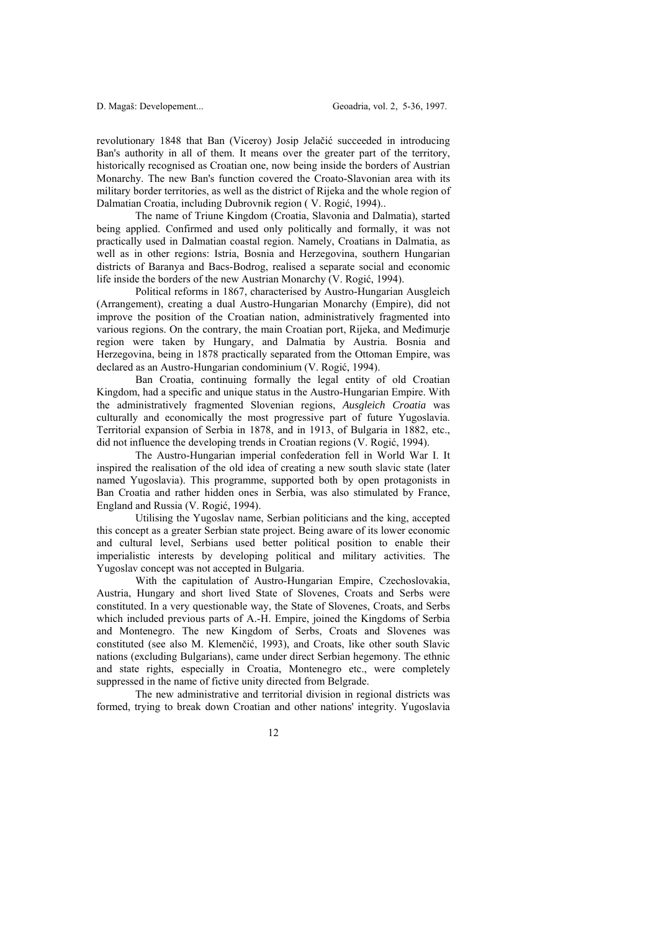revolutionary 1848 that Ban (Viceroy) Josip Jelačić succeeded in introducing Ban's authority in all of them. It means over the greater part of the territory, historically recognised as Croatian one, now being inside the borders of Austrian Monarchy. The new Ban's function covered the Croato-Slavonian area with its military border territories, as well as the district of Rijeka and the whole region of Dalmatian Croatia, including Dubrovnik region ( V. Rogić, 1994)..

 The name of Triune Kingdom (Croatia, Slavonia and Dalmatia), started being applied. Confirmed and used only politically and formally, it was not practically used in Dalmatian coastal region. Namely, Croatians in Dalmatia, as well as in other regions: Istria, Bosnia and Herzegovina, southern Hungarian districts of Baranya and Bacs-Bodrog, realised a separate social and economic life inside the borders of the new Austrian Monarchy (V. Rogić, 1994).

 Political reforms in 1867, characterised by Austro-Hungarian Ausgleich (Arrangement), creating a dual Austro-Hungarian Monarchy (Empire), did not improve the position of the Croatian nation, administratively fragmented into various regions. On the contrary, the main Croatian port, Rijeka, and Međimurje region were taken by Hungary, and Dalmatia by Austria. Bosnia and Herzegovina, being in 1878 practically separated from the Ottoman Empire, was declared as an Austro-Hungarian condominium (V. Rogić, 1994).

 Ban Croatia, continuing formally the legal entity of old Croatian Kingdom, had a specific and unique status in the Austro-Hungarian Empire. With the administratively fragmented Slovenian regions, *Ausgleich Croatia* was culturally and economically the most progressive part of future Yugoslavia. Territorial expansion of Serbia in 1878, and in 1913, of Bulgaria in 1882, etc., did not influence the developing trends in Croatian regions (V. Rogić, 1994).

 The Austro-Hungarian imperial confederation fell in World War I. It inspired the realisation of the old idea of creating a new south slavic state (later named Yugoslavia). This programme, supported both by open protagonists in Ban Croatia and rather hidden ones in Serbia, was also stimulated by France, England and Russia (V. Rogić, 1994).

 Utilising the Yugoslav name, Serbian politicians and the king, accepted this concept as a greater Serbian state project. Being aware of its lower economic and cultural level, Serbians used better political position to enable their imperialistic interests by developing political and military activities. The Yugoslav concept was not accepted in Bulgaria.

 With the capitulation of Austro-Hungarian Empire, Czechoslovakia, Austria, Hungary and short lived State of Slovenes, Croats and Serbs were constituted. In a very questionable way, the State of Slovenes, Croats, and Serbs which included previous parts of A.-H. Empire, joined the Kingdoms of Serbia and Montenegro. The new Kingdom of Serbs, Croats and Slovenes was constituted (see also M. Klemenčić, 1993), and Croats, like other south Slavic nations (excluding Bulgarians), came under direct Serbian hegemony. The ethnic and state rights, especially in Croatia, Montenegro etc., were completely suppressed in the name of fictive unity directed from Belgrade.

 The new administrative and territorial division in regional districts was formed, trying to break down Croatian and other nations' integrity. Yugoslavia

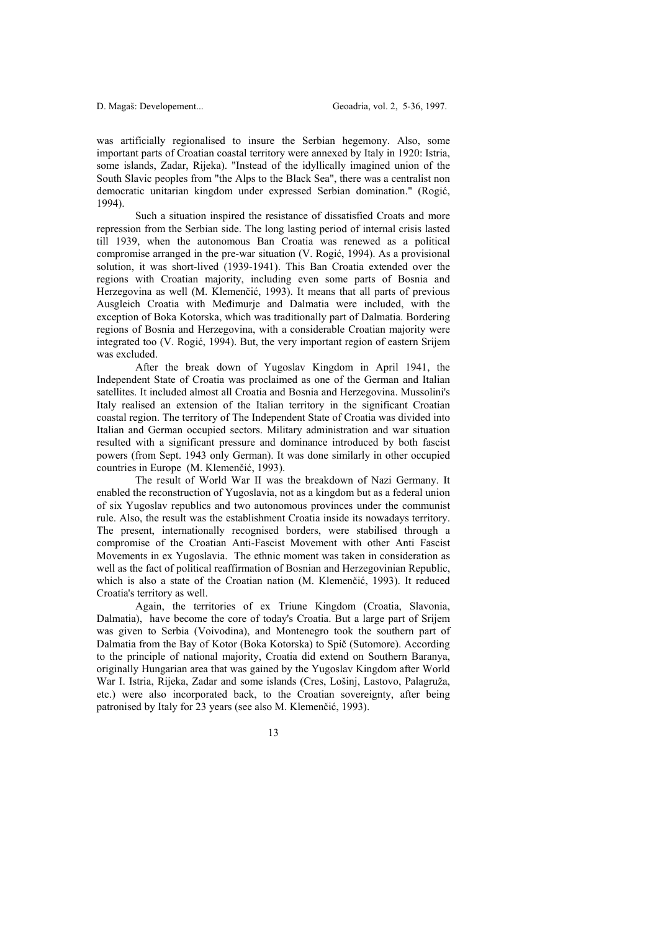was artificially regionalised to insure the Serbian hegemony. Also, some important parts of Croatian coastal territory were annexed by Italy in 1920: Istria, some islands, Zadar, Rijeka). "Instead of the idyllically imagined union of the South Slavic peoples from "the Alps to the Black Sea", there was a centralist non democratic unitarian kingdom under expressed Serbian domination." (Rogić, 1994).

 Such a situation inspired the resistance of dissatisfied Croats and more repression from the Serbian side. The long lasting period of internal crisis lasted till 1939, when the autonomous Ban Croatia was renewed as a political compromise arranged in the pre-war situation (V. Rogić, 1994). As a provisional solution, it was short-lived (1939-1941). This Ban Croatia extended over the regions with Croatian majority, including even some parts of Bosnia and Herzegovina as well (M. Klemenčić, 1993). It means that all parts of previous Ausgleich Croatia with Međimurje and Dalmatia were included, with the exception of Boka Kotorska, which was traditionally part of Dalmatia. Bordering regions of Bosnia and Herzegovina, with a considerable Croatian majority were integrated too (V. Rogić, 1994). But, the very important region of eastern Srijem was excluded.

 After the break down of Yugoslav Kingdom in April 1941, the Independent State of Croatia was proclaimed as one of the German and Italian satellites. It included almost all Croatia and Bosnia and Herzegovina. Mussolini's Italy realised an extension of the Italian territory in the significant Croatian coastal region. The territory of The Independent State of Croatia was divided into Italian and German occupied sectors. Military administration and war situation resulted with a significant pressure and dominance introduced by both fascist powers (from Sept. 1943 only German). It was done similarly in other occupied countries in Europe (M. Klemenčić, 1993).

 The result of World War II was the breakdown of Nazi Germany. It enabled the reconstruction of Yugoslavia, not as a kingdom but as a federal union of six Yugoslav republics and two autonomous provinces under the communist rule. Also, the result was the establishment Croatia inside its nowadays territory. The present, internationally recognised borders, were stabilised through a compromise of the Croatian Anti-Fascist Movement with other Anti Fascist Movements in ex Yugoslavia. The ethnic moment was taken in consideration as well as the fact of political reaffirmation of Bosnian and Herzegovinian Republic, which is also a state of the Croatian nation (M. Klemenčić, 1993). It reduced Croatia's territory as well.

 Again, the territories of ex Triune Kingdom (Croatia, Slavonia, Dalmatia), have become the core of today's Croatia. But a large part of Srijem was given to Serbia (Voivodina), and Montenegro took the southern part of Dalmatia from the Bay of Kotor (Boka Kotorska) to Spič (Sutomore). According to the principle of national majority, Croatia did extend on Southern Baranya, originally Hungarian area that was gained by the Yugoslav Kingdom after World War I. Istria, Rijeka, Zadar and some islands (Cres, Lošinj, Lastovo, Palagruža, etc.) were also incorporated back, to the Croatian sovereignty, after being patronised by Italy for 23 years (see also M. Klemenčić, 1993).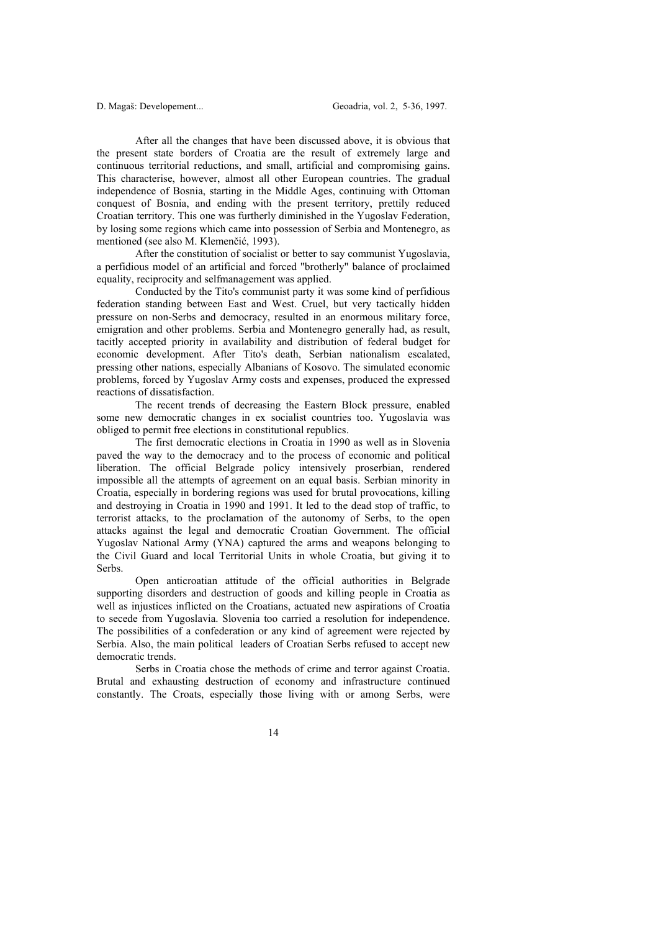After all the changes that have been discussed above, it is obvious that the present state borders of Croatia are the result of extremely large and continuous territorial reductions, and small, artificial and compromising gains. This characterise, however, almost all other European countries. The gradual independence of Bosnia, starting in the Middle Ages, continuing with Ottoman conquest of Bosnia, and ending with the present territory, prettily reduced Croatian territory. This one was furtherly diminished in the Yugoslav Federation, by losing some regions which came into possession of Serbia and Montenegro, as mentioned (see also M. Klemenčić, 1993).

 After the constitution of socialist or better to say communist Yugoslavia, a perfidious model of an artificial and forced "brotherly" balance of proclaimed equality, reciprocity and selfmanagement was applied.

 Conducted by the Tito's communist party it was some kind of perfidious federation standing between East and West. Cruel, but very tactically hidden pressure on non-Serbs and democracy, resulted in an enormous military force, emigration and other problems. Serbia and Montenegro generally had, as result, tacitly accepted priority in availability and distribution of federal budget for economic development. After Tito's death, Serbian nationalism escalated, pressing other nations, especially Albanians of Kosovo. The simulated economic problems, forced by Yugoslav Army costs and expenses, produced the expressed reactions of dissatisfaction.

 The recent trends of decreasing the Eastern Block pressure, enabled some new democratic changes in ex socialist countries too. Yugoslavia was obliged to permit free elections in constitutional republics.

 The first democratic elections in Croatia in 1990 as well as in Slovenia paved the way to the democracy and to the process of economic and political liberation. The official Belgrade policy intensively proserbian, rendered impossible all the attempts of agreement on an equal basis. Serbian minority in Croatia, especially in bordering regions was used for brutal provocations, killing and destroying in Croatia in 1990 and 1991. It led to the dead stop of traffic, to terrorist attacks, to the proclamation of the autonomy of Serbs, to the open attacks against the legal and democratic Croatian Government. The official Yugoslav National Army (YNA) captured the arms and weapons belonging to the Civil Guard and local Territorial Units in whole Croatia, but giving it to Serbs.

 Open anticroatian attitude of the official authorities in Belgrade supporting disorders and destruction of goods and killing people in Croatia as well as injustices inflicted on the Croatians, actuated new aspirations of Croatia to secede from Yugoslavia. Slovenia too carried a resolution for independence. The possibilities of a confederation or any kind of agreement were rejected by Serbia. Also, the main political leaders of Croatian Serbs refused to accept new democratic trends.

 Serbs in Croatia chose the methods of crime and terror against Croatia. Brutal and exhausting destruction of economy and infrastructure continued constantly. The Croats, especially those living with or among Serbs, were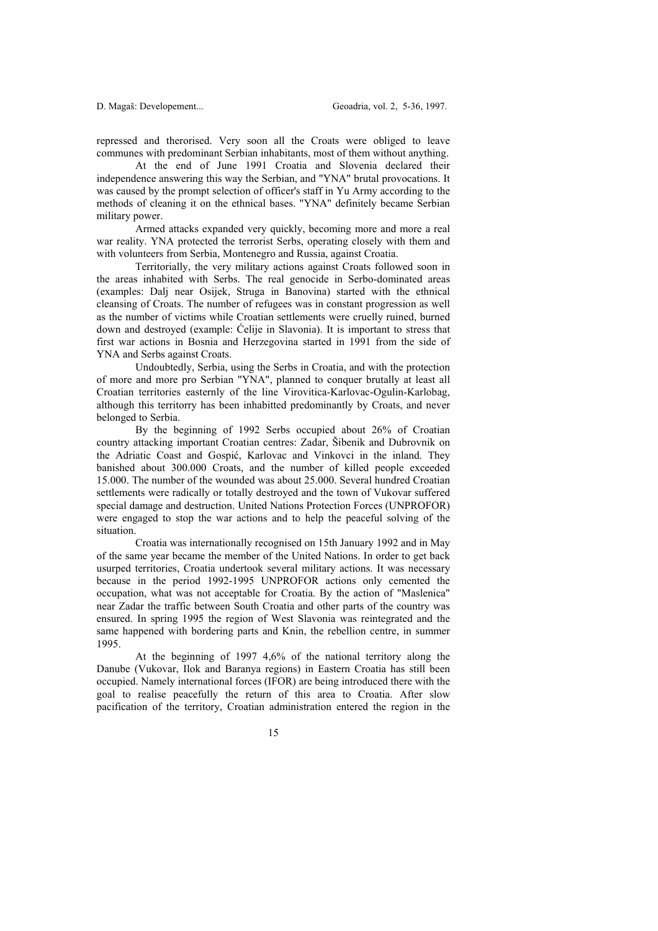repressed and therorised. Very soon all the Croats were obliged to leave communes with predominant Serbian inhabitants, most of them without anything.

 At the end of June 1991 Croatia and Slovenia declared their independence answering this way the Serbian, and "YNA" brutal provocations. It was caused by the prompt selection of officer's staff in Yu Army according to the methods of cleaning it on the ethnical bases. "YNA" definitely became Serbian military power.

 Armed attacks expanded very quickly, becoming more and more a real war reality. YNA protected the terrorist Serbs, operating closely with them and with volunteers from Serbia, Montenegro and Russia, against Croatia.

 Territorially, the very military actions against Croats followed soon in the areas inhabited with Serbs. The real genocide in Serbo-dominated areas (examples: Dalj near Osijek, Struga in Banovina) started with the ethnical cleansing of Croats. The number of refugees was in constant progression as well as the number of victims while Croatian settlements were cruelly ruined, burned down and destroyed (example: Ćelije in Slavonia). It is important to stress that first war actions in Bosnia and Herzegovina started in 1991 from the side of YNA and Serbs against Croats.

 Undoubtedly, Serbia, using the Serbs in Croatia, and with the protection of more and more pro Serbian "YNA", planned to conquer brutally at least all Croatian territories easternly of the line Virovitica-Karlovac-Ogulin-Karlobag, although this territorry has been inhabitted predominantly by Croats, and never belonged to Serbia.

 By the beginning of 1992 Serbs occupied about 26% of Croatian country attacking important Croatian centres: Zadar, Šibenik and Dubrovnik on the Adriatic Coast and Gospić, Karlovac and Vinkovci in the inland. They banished about 300.000 Croats, and the number of killed people exceeded 15.000. The number of the wounded was about 25.000. Several hundred Croatian settlements were radically or totally destroyed and the town of Vukovar suffered special damage and destruction. United Nations Protection Forces (UNPROFOR) were engaged to stop the war actions and to help the peaceful solving of the situation.

 Croatia was internationally recognised on 15th January 1992 and in May of the same year became the member of the United Nations. In order to get back usurped territories, Croatia undertook several military actions. It was necessary because in the period 1992-1995 UNPROFOR actions only cemented the occupation, what was not acceptable for Croatia. By the action of "Maslenica" near Zadar the traffic between South Croatia and other parts of the country was ensured. In spring 1995 the region of West Slavonia was reintegrated and the same happened with bordering parts and Knin, the rebellion centre, in summer 1995.

 At the beginning of 1997 4,6% of the national territory along the Danube (Vukovar, Ilok and Baranya regions) in Eastern Croatia has still been occupied. Namely international forces (IFOR) are being introduced there with the goal to realise peacefully the return of this area to Croatia. After slow pacification of the territory, Croatian administration entered the region in the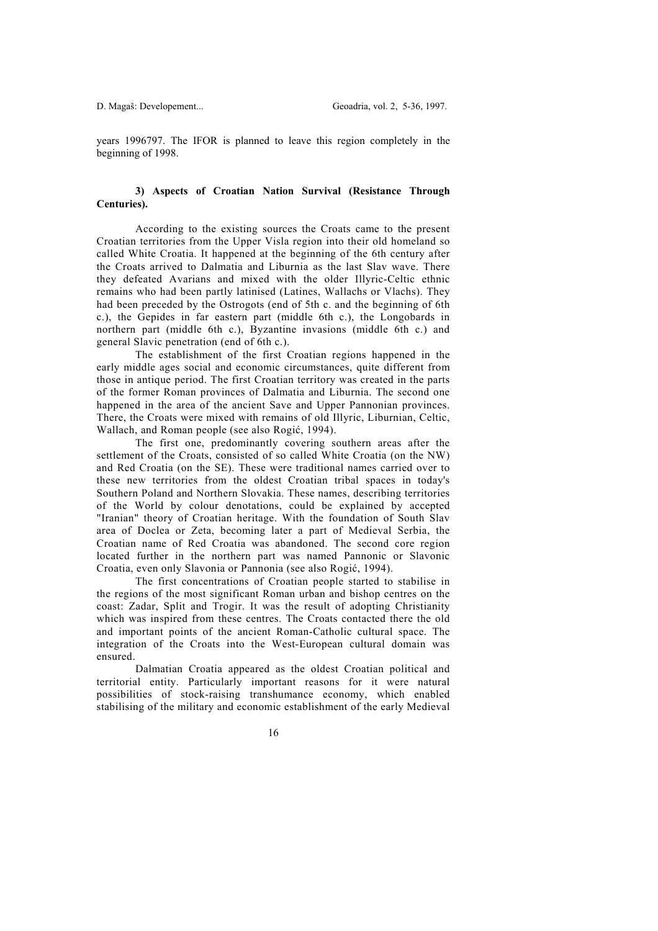years 1996797. The IFOR is planned to leave this region completely in the beginning of 1998.

## **3) Aspects of Croatian Nation Survival (Resistance Through Centuries).**

 According to the existing sources the Croats came to the present Croatian territories from the Upper Visla region into their old homeland so called White Croatia. It happened at the beginning of the 6th century after the Croats arrived to Dalmatia and Liburnia as the last Slav wave. There they defeated Avarians and mixed with the older Illyric-Celtic ethnic remains who had been partly latinised (Latines, Wallachs or Vlachs). They had been preceded by the Ostrogots (end of 5th c. and the beginning of 6th c.), the Gepides in far eastern part (middle 6th c.), the Longobards in northern part (middle 6th c.), Byzantine invasions (middle 6th c.) and general Slavic penetration (end of 6th c.).

 The establishment of the first Croatian regions happened in the early middle ages social and economic circumstances, quite different from those in antique period. The first Croatian territory was created in the parts of the former Roman provinces of Dalmatia and Liburnia. The second one happened in the area of the ancient Save and Upper Pannonian provinces. There, the Croats were mixed with remains of old Illyric, Liburnian, Celtic, Wallach, and Roman people (see also Rogić, 1994).

 The first one, predominantly covering southern areas after the settlement of the Croats, consisted of so called White Croatia (on the NW) and Red Croatia (on the SE). These were traditional names carried over to these new territories from the oldest Croatian tribal spaces in today's Southern Poland and Northern Slovakia. These names, describing territories of the World by colour denotations, could be explained by accepted "Iranian" theory of Croatian heritage. With the foundation of South Slav area of Doclea or Zeta, becoming later a part of Medieval Serbia, the Croatian name of Red Croatia was abandoned. The second core region located further in the northern part was named Pannonic or Slavonic Croatia, even only Slavonia or Pannonia (see also Rogić, 1994).

 The first concentrations of Croatian people started to stabilise in the regions of the most significant Roman urban and bishop centres on the coast: Zadar, Split and Trogir. It was the result of adopting Christianity which was inspired from these centres. The Croats contacted there the old and important points of the ancient Roman-Catholic cultural space. The integration of the Croats into the West-European cultural domain was ensured.

 Dalmatian Croatia appeared as the oldest Croatian political and territorial entity. Particularly important reasons for it were natural possibilities of stock-raising transhumance economy, which enabled stabilising of the military and economic establishment of the early Medieval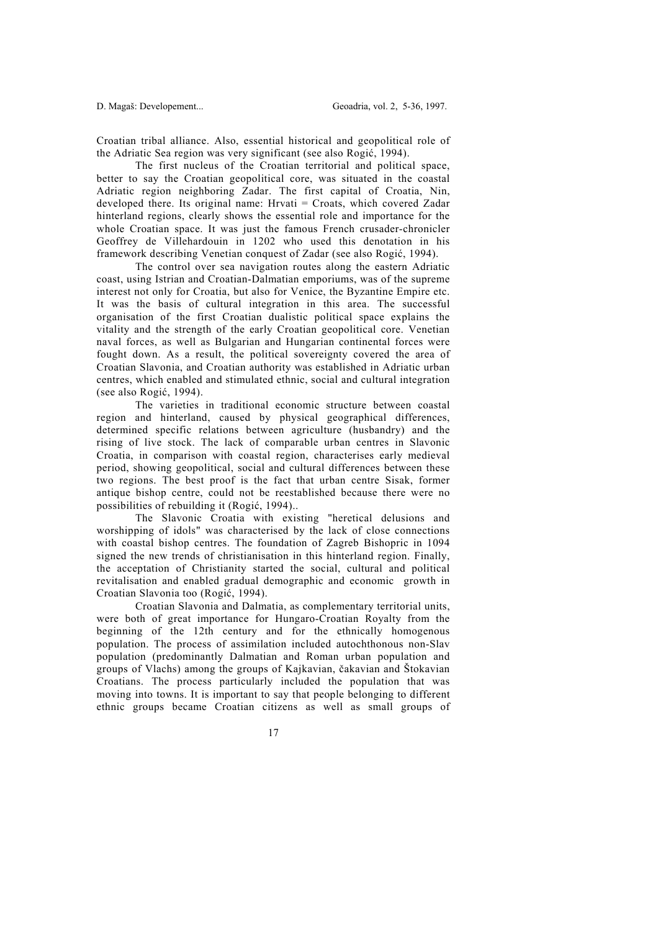Croatian tribal alliance. Also, essential historical and geopolitical role of the Adriatic Sea region was very significant (see also Rogić, 1994).

 The first nucleus of the Croatian territorial and political space, better to say the Croatian geopolitical core, was situated in the coastal Adriatic region neighboring Zadar. The first capital of Croatia, Nin, developed there. Its original name: Hrvati = Croats, which covered Zadar hinterland regions, clearly shows the essential role and importance for the whole Croatian space. It was just the famous French crusader-chronicler Geoffrey de Villehardouin in 1202 who used this denotation in his framework describing Venetian conquest of Zadar (see also Rogić, 1994).

 The control over sea navigation routes along the eastern Adriatic coast, using Istrian and Croatian-Dalmatian emporiums, was of the supreme interest not only for Croatia, but also for Venice, the Byzantine Empire etc. It was the basis of cultural integration in this area. The successful organisation of the first Croatian dualistic political space explains the vitality and the strength of the early Croatian geopolitical core. Venetian naval forces, as well as Bulgarian and Hungarian continental forces were fought down. As a result, the political sovereignty covered the area of Croatian Slavonia, and Croatian authority was established in Adriatic urban centres, which enabled and stimulated ethnic, social and cultural integration (see also Rogić, 1994).

 The varieties in traditional economic structure between coastal region and hinterland, caused by physical geographical differences, determined specific relations between agriculture (husbandry) and the rising of live stock. The lack of comparable urban centres in Slavonic Croatia, in comparison with coastal region, characterises early medieval period, showing geopolitical, social and cultural differences between these two regions. The best proof is the fact that urban centre Sisak, former antique bishop centre, could not be reestablished because there were no possibilities of rebuilding it (Rogić, 1994)..

 The Slavonic Croatia with existing "heretical delusions and worshipping of idols" was characterised by the lack of close connections with coastal bishop centres. The foundation of Zagreb Bishopric in 1094 signed the new trends of christianisation in this hinterland region. Finally, the acceptation of Christianity started the social, cultural and political revitalisation and enabled gradual demographic and economic growth in Croatian Slavonia too (Rogić, 1994).

 Croatian Slavonia and Dalmatia, as complementary territorial units, were both of great importance for Hungaro-Croatian Royalty from the beginning of the 12th century and for the ethnically homogenous population. The process of assimilation included autochthonous non-Slav population (predominantly Dalmatian and Roman urban population and groups of Vlachs) among the groups of Kajkavian, čakavian and Štokavian Croatians. The process particularly included the population that was moving into towns. It is important to say that people belonging to different ethnic groups became Croatian citizens as well as small groups of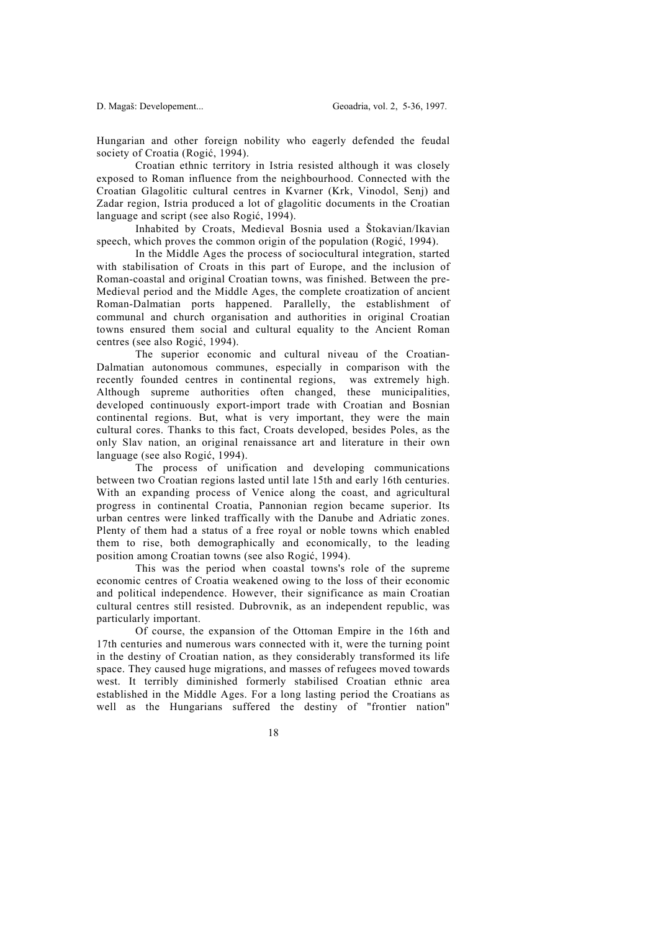Hungarian and other foreign nobility who eagerly defended the feudal society of Croatia (Rogić, 1994).

 Croatian ethnic territory in Istria resisted although it was closely exposed to Roman influence from the neighbourhood. Connected with the Croatian Glagolitic cultural centres in Kvarner (Krk, Vinodol, Senj) and Zadar region, Istria produced a lot of glagolitic documents in the Croatian language and script (see also Rogić, 1994).

 Inhabited by Croats, Medieval Bosnia used a Štokavian/Ikavian speech, which proves the common origin of the population (Rogić, 1994).

 In the Middle Ages the process of sociocultural integration, started with stabilisation of Croats in this part of Europe, and the inclusion of Roman-coastal and original Croatian towns, was finished. Between the pre-Medieval period and the Middle Ages, the complete croatization of ancient Roman-Dalmatian ports happened. Parallelly, the establishment of communal and church organisation and authorities in original Croatian towns ensured them social and cultural equality to the Ancient Roman centres (see also Rogić, 1994).

 The superior economic and cultural niveau of the Croatian-Dalmatian autonomous communes, especially in comparison with the recently founded centres in continental regions, was extremely high. Although supreme authorities often changed, these municipalities, developed continuously export-import trade with Croatian and Bosnian continental regions. But, what is very important, they were the main cultural cores. Thanks to this fact, Croats developed, besides Poles, as the only Slav nation, an original renaissance art and literature in their own language (see also Rogić, 1994).

 The process of unification and developing communications between two Croatian regions lasted until late 15th and early 16th centuries. With an expanding process of Venice along the coast, and agricultural progress in continental Croatia, Pannonian region became superior. Its urban centres were linked traffically with the Danube and Adriatic zones. Plenty of them had a status of a free royal or noble towns which enabled them to rise, both demographically and economically, to the leading position among Croatian towns (see also Rogić, 1994).

 This was the period when coastal towns's role of the supreme economic centres of Croatia weakened owing to the loss of their economic and political independence. However, their significance as main Croatian cultural centres still resisted. Dubrovnik, as an independent republic, was particularly important.

 Of course, the expansion of the Ottoman Empire in the 16th and 17th centuries and numerous wars connected with it, were the turning point in the destiny of Croatian nation, as they considerably transformed its life space. They caused huge migrations, and masses of refugees moved towards west. It terribly diminished formerly stabilised Croatian ethnic area established in the Middle Ages. For a long lasting period the Croatians as well as the Hungarians suffered the destiny of "frontier nation"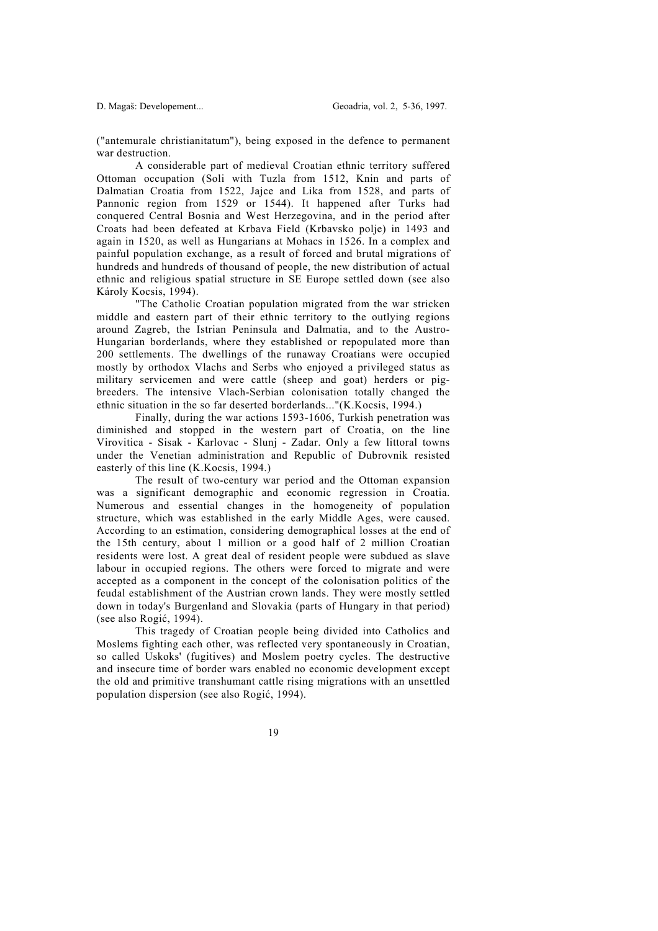("antemurale christianitatum"), being exposed in the defence to permanent war destruction.

 A considerable part of medieval Croatian ethnic territory suffered Ottoman occupation (Soli with Tuzla from 1512, Knin and parts of Dalmatian Croatia from 1522, Jajce and Lika from 1528, and parts of Pannonic region from 1529 or 1544). It happened after Turks had conquered Central Bosnia and West Herzegovina, and in the period after Croats had been defeated at Krbava Field (Krbavsko polje) in 1493 and again in 1520, as well as Hungarians at Mohacs in 1526. In a complex and painful population exchange, as a result of forced and brutal migrations of hundreds and hundreds of thousand of people, the new distribution of actual ethnic and religious spatial structure in SE Europe settled down (see also Károly Kocsis, 1994).

 "The Catholic Croatian population migrated from the war stricken middle and eastern part of their ethnic territory to the outlying regions around Zagreb, the Istrian Peninsula and Dalmatia, and to the Austro-Hungarian borderlands, where they established or repopulated more than 200 settlements. The dwellings of the runaway Croatians were occupied mostly by orthodox Vlachs and Serbs who enjoyed a privileged status as military servicemen and were cattle (sheep and goat) herders or pigbreeders. The intensive Vlach-Serbian colonisation totally changed the ethnic situation in the so far deserted borderlands..."(K.Kocsis, 1994.)

 Finally, during the war actions 1593-1606, Turkish penetration was diminished and stopped in the western part of Croatia, on the line Virovitica - Sisak - Karlovac - Slunj - Zadar. Only a few littoral towns under the Venetian administration and Republic of Dubrovnik resisted easterly of this line (K.Kocsis, 1994.)

 The result of two-century war period and the Ottoman expansion was a significant demographic and economic regression in Croatia. Numerous and essential changes in the homogeneity of population structure, which was established in the early Middle Ages, were caused. According to an estimation, considering demographical losses at the end of the 15th century, about 1 million or a good half of 2 million Croatian residents were lost. A great deal of resident people were subdued as slave labour in occupied regions. The others were forced to migrate and were accepted as a component in the concept of the colonisation politics of the feudal establishment of the Austrian crown lands. They were mostly settled down in today's Burgenland and Slovakia (parts of Hungary in that period) (see also Rogić, 1994).

 This tragedy of Croatian people being divided into Catholics and Moslems fighting each other, was reflected very spontaneously in Croatian, so called Uskoks' (fugitives) and Moslem poetry cycles. The destructive and insecure time of border wars enabled no economic development except the old and primitive transhumant cattle rising migrations with an unsettled population dispersion (see also Rogić, 1994).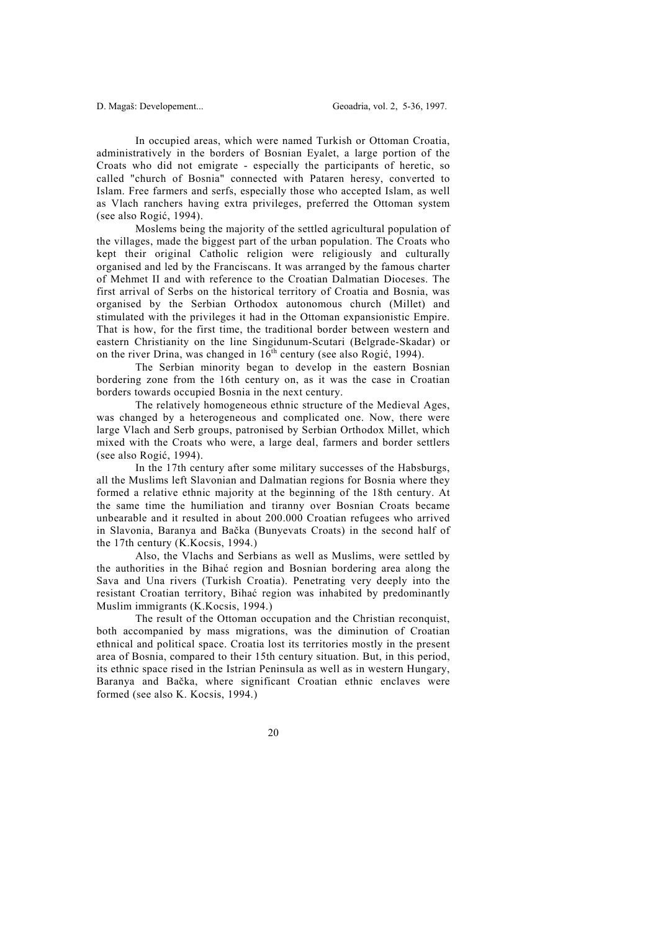In occupied areas, which were named Turkish or Ottoman Croatia, administratively in the borders of Bosnian Eyalet, a large portion of the Croats who did not emigrate - especially the participants of heretic, so called "church of Bosnia" connected with Pataren heresy, converted to Islam. Free farmers and serfs, especially those who accepted Islam, as well as Vlach ranchers having extra privileges, preferred the Ottoman system (see also Rogić, 1994).

 Moslems being the majority of the settled agricultural population of the villages, made the biggest part of the urban population. The Croats who kept their original Catholic religion were religiously and culturally organised and led by the Franciscans. It was arranged by the famous charter of Mehmet II and with reference to the Croatian Dalmatian Dioceses. The first arrival of Serbs on the historical territory of Croatia and Bosnia, was organised by the Serbian Orthodox autonomous church (Millet) and stimulated with the privileges it had in the Ottoman expansionistic Empire. That is how, for the first time, the traditional border between western and eastern Christianity on the line Singidunum-Scutari (Belgrade-Skadar) or on the river Drina, was changed in  $16^{th}$  century (see also Rogić, 1994).

 The Serbian minority began to develop in the eastern Bosnian bordering zone from the 16th century on, as it was the case in Croatian borders towards occupied Bosnia in the next century.

 The relatively homogeneous ethnic structure of the Medieval Ages, was changed by a heterogeneous and complicated one. Now, there were large Vlach and Serb groups, patronised by Serbian Orthodox Millet, which mixed with the Croats who were, a large deal, farmers and border settlers (see also Rogić, 1994).

 In the 17th century after some military successes of the Habsburgs, all the Muslims left Slavonian and Dalmatian regions for Bosnia where they formed a relative ethnic majority at the beginning of the 18th century. At the same time the humiliation and tiranny over Bosnian Croats became unbearable and it resulted in about 200.000 Croatian refugees who arrived in Slavonia, Baranya and Bačka (Bunyevats Croats) in the second half of the 17th century (K.Kocsis, 1994.)

 Also, the Vlachs and Serbians as well as Muslims, were settled by the authorities in the Bihać region and Bosnian bordering area along the Sava and Una rivers (Turkish Croatia). Penetrating very deeply into the resistant Croatian territory, Bihać region was inhabited by predominantly Muslim immigrants (K.Kocsis, 1994.)

 The result of the Ottoman occupation and the Christian reconquist, both accompanied by mass migrations, was the diminution of Croatian ethnical and political space. Croatia lost its territories mostly in the present area of Bosnia, compared to their 15th century situation. But, in this period, its ethnic space rised in the Istrian Peninsula as well as in western Hungary, Baranya and Bačka, where significant Croatian ethnic enclaves were formed (see also K. Kocsis, 1994.)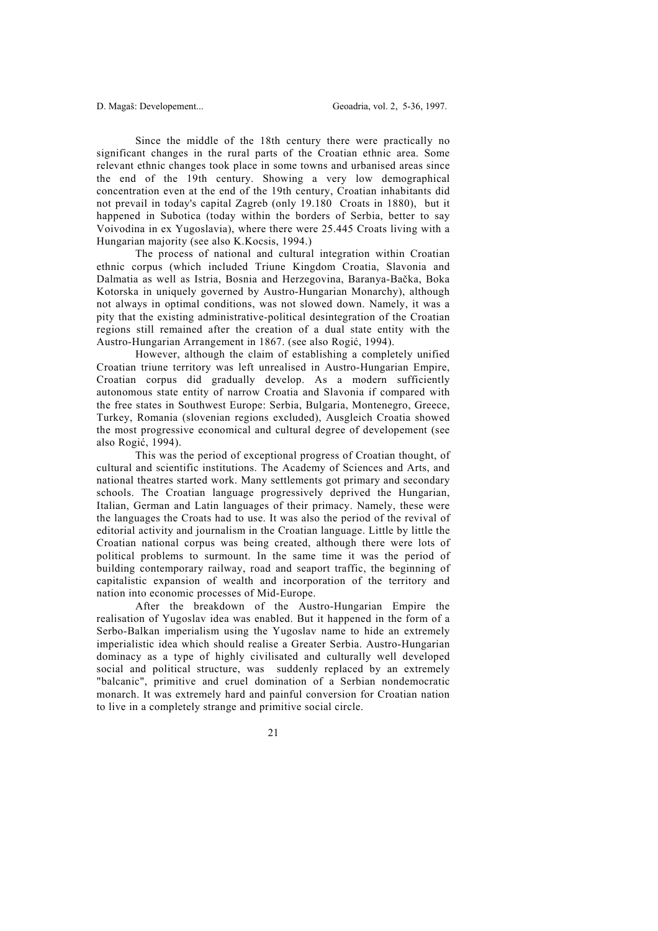Since the middle of the 18th century there were practically no significant changes in the rural parts of the Croatian ethnic area. Some relevant ethnic changes took place in some towns and urbanised areas since the end of the 19th century. Showing a very low demographical concentration even at the end of the 19th century, Croatian inhabitants did not prevail in today's capital Zagreb (only 19.180 Croats in 1880), but it happened in Subotica (today within the borders of Serbia, better to say Voivodina in ex Yugoslavia), where there were 25.445 Croats living with a Hungarian majority (see also K.Kocsis, 1994.)

 The process of national and cultural integration within Croatian ethnic corpus (which included Triune Kingdom Croatia, Slavonia and Dalmatia as well as Istria, Bosnia and Herzegovina, Baranya-Bačka, Boka Kotorska in uniquely governed by Austro-Hungarian Monarchy), although not always in optimal conditions, was not slowed down. Namely, it was a pity that the existing administrative-political desintegration of the Croatian regions still remained after the creation of a dual state entity with the Austro-Hungarian Arrangement in 1867. (see also Rogić, 1994).

 However, although the claim of establishing a completely unified Croatian triune territory was left unrealised in Austro-Hungarian Empire, Croatian corpus did gradually develop. As a modern sufficiently autonomous state entity of narrow Croatia and Slavonia if compared with the free states in Southwest Europe: Serbia, Bulgaria, Montenegro, Greece, Turkey, Romania (slovenian regions excluded), Ausgleich Croatia showed the most progressive economical and cultural degree of developement (see also Rogić, 1994).

 This was the period of exceptional progress of Croatian thought, of cultural and scientific institutions. The Academy of Sciences and Arts, and national theatres started work. Many settlements got primary and secondary schools. The Croatian language progressively deprived the Hungarian, Italian, German and Latin languages of their primacy. Namely, these were the languages the Croats had to use. It was also the period of the revival of editorial activity and journalism in the Croatian language. Little by little the Croatian national corpus was being created, although there were lots of political problems to surmount. In the same time it was the period of building contemporary railway, road and seaport traffic, the beginning of capitalistic expansion of wealth and incorporation of the territory and nation into economic processes of Mid-Europe.

 After the breakdown of the Austro-Hungarian Empire the realisation of Yugoslav idea was enabled. But it happened in the form of a Serbo-Balkan imperialism using the Yugoslav name to hide an extremely imperialistic idea which should realise a Greater Serbia. Austro-Hungarian dominacy as a type of highly civilisated and culturally well developed social and political structure, was suddenly replaced by an extremely "balcanic", primitive and cruel domination of a Serbian nondemocratic monarch. It was extremely hard and painful conversion for Croatian nation to live in a completely strange and primitive social circle.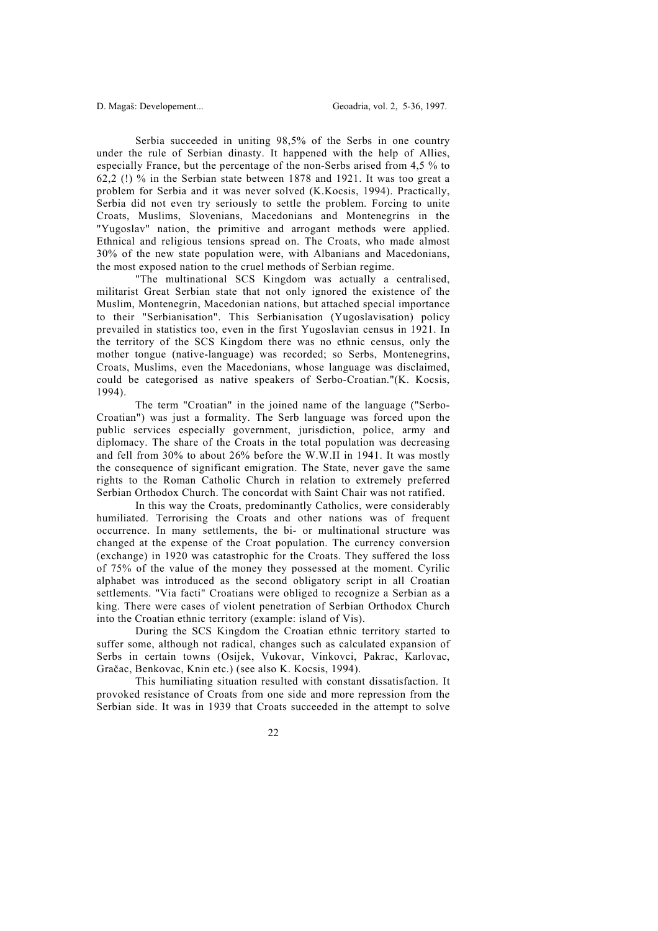Serbia succeeded in uniting 98,5% of the Serbs in one country under the rule of Serbian dinasty. It happened with the help of Allies, especially France, but the percentage of the non-Serbs arised from 4,5 % to 62,2 (!) % in the Serbian state between 1878 and 1921. It was too great a problem for Serbia and it was never solved (K.Kocsis, 1994). Practically, Serbia did not even try seriously to settle the problem. Forcing to unite Croats, Muslims, Slovenians, Macedonians and Montenegrins in the "Yugoslav" nation, the primitive and arrogant methods were applied. Ethnical and religious tensions spread on. The Croats, who made almost 30% of the new state population were, with Albanians and Macedonians, the most exposed nation to the cruel methods of Serbian regime.

 "The multinational SCS Kingdom was actually a centralised, militarist Great Serbian state that not only ignored the existence of the Muslim, Montenegrin, Macedonian nations, but attached special importance to their "Serbianisation". This Serbianisation (Yugoslavisation) policy prevailed in statistics too, even in the first Yugoslavian census in 1921. In the territory of the SCS Kingdom there was no ethnic census, only the mother tongue (native-language) was recorded; so Serbs, Montenegrins, Croats, Muslims, even the Macedonians, whose language was disclaimed, could be categorised as native speakers of Serbo-Croatian."(K. Kocsis, 1994).

 The term "Croatian" in the joined name of the language ("Serbo-Croatian") was just a formality. The Serb language was forced upon the public services especially government, jurisdiction, police, army and diplomacy. The share of the Croats in the total population was decreasing and fell from 30% to about 26% before the W.W.II in 1941. It was mostly the consequence of significant emigration. The State, never gave the same rights to the Roman Catholic Church in relation to extremely preferred Serbian Orthodox Church. The concordat with Saint Chair was not ratified.

 In this way the Croats, predominantly Catholics, were considerably humiliated. Terrorising the Croats and other nations was of frequent occurrence. In many settlements, the bi- or multinational structure was changed at the expense of the Croat population. The currency conversion (exchange) in 1920 was catastrophic for the Croats. They suffered the loss of 75% of the value of the money they possessed at the moment. Cyrilic alphabet was introduced as the second obligatory script in all Croatian settlements. "Via facti" Croatians were obliged to recognize a Serbian as a king. There were cases of violent penetration of Serbian Orthodox Church into the Croatian ethnic territory (example: island of Vis).

 During the SCS Kingdom the Croatian ethnic territory started to suffer some, although not radical, changes such as calculated expansion of Serbs in certain towns (Osijek, Vukovar, Vinkovci, Pakrac, Karlovac, Gračac, Benkovac, Knin etc.) (see also K. Kocsis, 1994).

 This humiliating situation resulted with constant dissatisfaction. It provoked resistance of Croats from one side and more repression from the Serbian side. It was in 1939 that Croats succeeded in the attempt to solve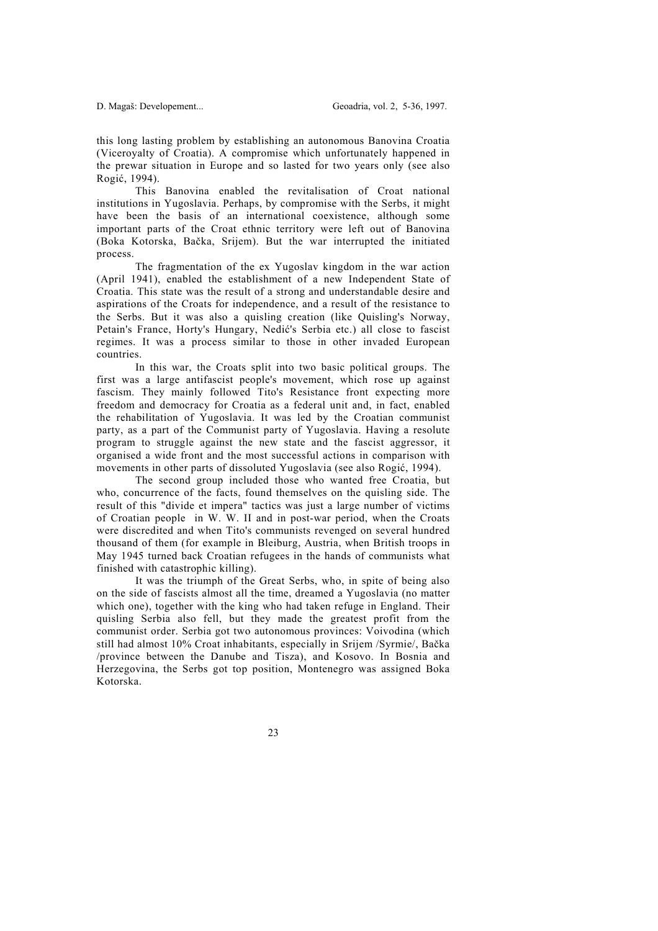this long lasting problem by establishing an autonomous Banovina Croatia (Viceroyalty of Croatia). A compromise which unfortunately happened in the prewar situation in Europe and so lasted for two years only (see also Rogić, 1994).

 This Banovina enabled the revitalisation of Croat national institutions in Yugoslavia. Perhaps, by compromise with the Serbs, it might have been the basis of an international coexistence, although some important parts of the Croat ethnic territory were left out of Banovina (Boka Kotorska, Bačka, Srijem). But the war interrupted the initiated process.

 The fragmentation of the ex Yugoslav kingdom in the war action (April 1941), enabled the establishment of a new Independent State of Croatia. This state was the result of a strong and understandable desire and aspirations of the Croats for independence, and a result of the resistance to the Serbs. But it was also a quisling creation (like Quisling's Norway, Petain's France, Horty's Hungary, Nedić's Serbia etc.) all close to fascist regimes. It was a process similar to those in other invaded European countries.

 In this war, the Croats split into two basic political groups. The first was a large antifascist people's movement, which rose up against fascism. They mainly followed Tito's Resistance front expecting more freedom and democracy for Croatia as a federal unit and, in fact, enabled the rehabilitation of Yugoslavia. It was led by the Croatian communist party, as a part of the Communist party of Yugoslavia. Having a resolute program to struggle against the new state and the fascist aggressor, it organised a wide front and the most successful actions in comparison with movements in other parts of dissoluted Yugoslavia (see also Rogić, 1994).

 The second group included those who wanted free Croatia, but who, concurrence of the facts, found themselves on the quisling side. The result of this "divide et impera" tactics was just a large number of victims of Croatian people in W. W. II and in post-war period, when the Croats were discredited and when Tito's communists revenged on several hundred thousand of them (for example in Bleiburg, Austria, when British troops in May 1945 turned back Croatian refugees in the hands of communists what finished with catastrophic killing).

 It was the triumph of the Great Serbs, who, in spite of being also on the side of fascists almost all the time, dreamed a Yugoslavia (no matter which one), together with the king who had taken refuge in England. Their quisling Serbia also fell, but they made the greatest profit from the communist order. Serbia got two autonomous provinces: Voivodina (which still had almost 10% Croat inhabitants, especially in Srijem /Syrmie/, Bačka /province between the Danube and Tisza), and Kosovo. In Bosnia and Herzegovina, the Serbs got top position, Montenegro was assigned Boka Kotorska.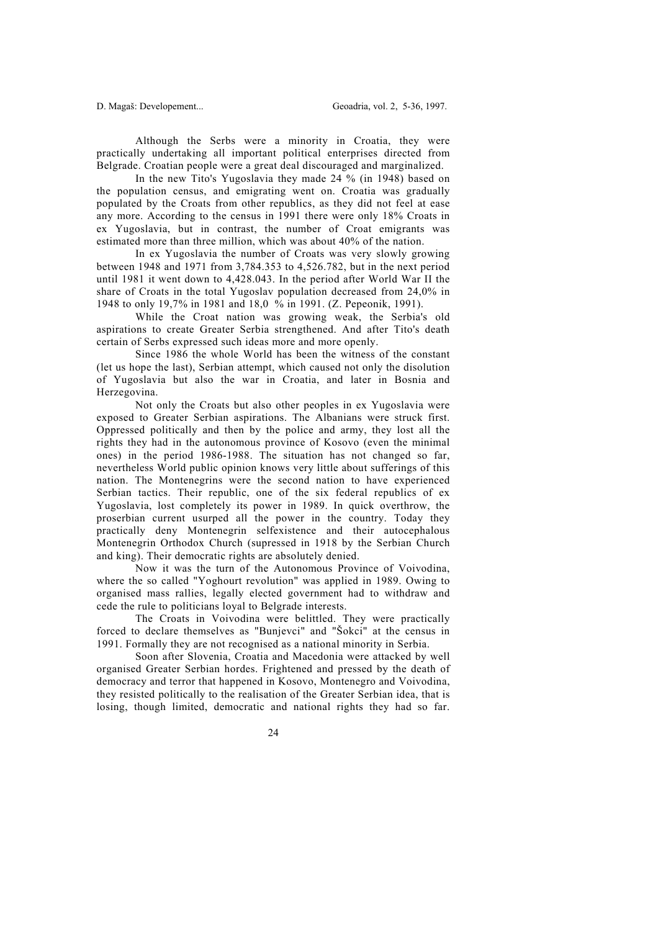Although the Serbs were a minority in Croatia, they were practically undertaking all important political enterprises directed from Belgrade. Croatian people were a great deal discouraged and marginalized.

 In the new Tito's Yugoslavia they made 24 % (in 1948) based on the population census, and emigrating went on. Croatia was gradually populated by the Croats from other republics, as they did not feel at ease any more. According to the census in 1991 there were only 18% Croats in ex Yugoslavia, but in contrast, the number of Croat emigrants was estimated more than three million, which was about 40% of the nation.

 In ex Yugoslavia the number of Croats was very slowly growing between 1948 and 1971 from 3,784.353 to 4,526.782, but in the next period until 1981 it went down to 4,428.043. In the period after World War II the share of Croats in the total Yugoslav population decreased from 24,0% in 1948 to only 19,7% in 1981 and 18,0 % in 1991. (Z. Pepeonik, 1991).

 While the Croat nation was growing weak, the Serbia's old aspirations to create Greater Serbia strengthened. And after Tito's death certain of Serbs expressed such ideas more and more openly.

 Since 1986 the whole World has been the witness of the constant (let us hope the last), Serbian attempt, which caused not only the disolution of Yugoslavia but also the war in Croatia, and later in Bosnia and Herzegovina.

 Not only the Croats but also other peoples in ex Yugoslavia were exposed to Greater Serbian aspirations. The Albanians were struck first. Oppressed politically and then by the police and army, they lost all the rights they had in the autonomous province of Kosovo (even the minimal ones) in the period 1986-1988. The situation has not changed so far, nevertheless World public opinion knows very little about sufferings of this nation. The Montenegrins were the second nation to have experienced Serbian tactics. Their republic, one of the six federal republics of ex Yugoslavia, lost completely its power in 1989. In quick overthrow, the proserbian current usurped all the power in the country. Today they practically deny Montenegrin selfexistence and their autocephalous Montenegrin Orthodox Church (supressed in 1918 by the Serbian Church and king). Their democratic rights are absolutely denied.

 Now it was the turn of the Autonomous Province of Voivodina, where the so called "Yoghourt revolution" was applied in 1989. Owing to organised mass rallies, legally elected government had to withdraw and cede the rule to politicians loyal to Belgrade interests.

 The Croats in Voivodina were belittled. They were practically forced to declare themselves as "Bunjevci" and "Šokci" at the census in 1991. Formally they are not recognised as a national minority in Serbia.

 Soon after Slovenia, Croatia and Macedonia were attacked by well organised Greater Serbian hordes. Frightened and pressed by the death of democracy and terror that happened in Kosovo, Montenegro and Voivodina, they resisted politically to the realisation of the Greater Serbian idea, that is losing, though limited, democratic and national rights they had so far.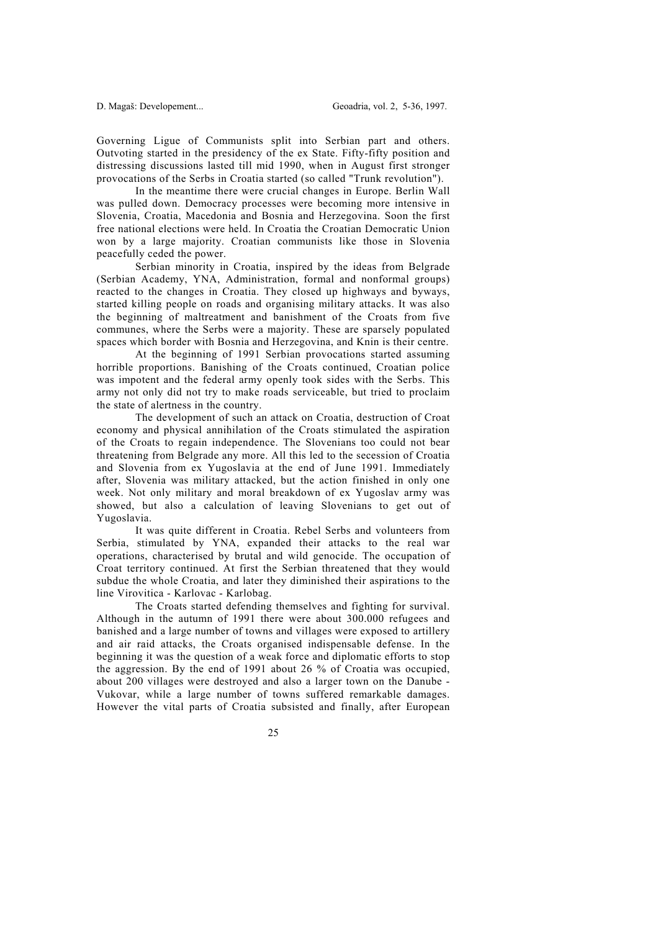Governing Ligue of Communists split into Serbian part and others. Outvoting started in the presidency of the ex State. Fifty-fifty position and distressing discussions lasted till mid 1990, when in August first stronger provocations of the Serbs in Croatia started (so called "Trunk revolution").

 In the meantime there were crucial changes in Europe. Berlin Wall was pulled down. Democracy processes were becoming more intensive in Slovenia, Croatia, Macedonia and Bosnia and Herzegovina. Soon the first free national elections were held. In Croatia the Croatian Democratic Union won by a large majority. Croatian communists like those in Slovenia peacefully ceded the power.

 Serbian minority in Croatia, inspired by the ideas from Belgrade (Serbian Academy, YNA, Administration, formal and nonformal groups) reacted to the changes in Croatia. They closed up highways and byways, started killing people on roads and organising military attacks. It was also the beginning of maltreatment and banishment of the Croats from five communes, where the Serbs were a majority. These are sparsely populated spaces which border with Bosnia and Herzegovina, and Knin is their centre.

 At the beginning of 1991 Serbian provocations started assuming horrible proportions. Banishing of the Croats continued, Croatian police was impotent and the federal army openly took sides with the Serbs. This army not only did not try to make roads serviceable, but tried to proclaim the state of alertness in the country.

 The development of such an attack on Croatia, destruction of Croat economy and physical annihilation of the Croats stimulated the aspiration of the Croats to regain independence. The Slovenians too could not bear threatening from Belgrade any more. All this led to the secession of Croatia and Slovenia from ex Yugoslavia at the end of June 1991. Immediately after, Slovenia was military attacked, but the action finished in only one week. Not only military and moral breakdown of ex Yugoslav army was showed, but also a calculation of leaving Slovenians to get out of Yugoslavia.

 It was quite different in Croatia. Rebel Serbs and volunteers from Serbia, stimulated by YNA, expanded their attacks to the real war operations, characterised by brutal and wild genocide. The occupation of Croat territory continued. At first the Serbian threatened that they would subdue the whole Croatia, and later they diminished their aspirations to the line Virovitica - Karlovac - Karlobag.

 The Croats started defending themselves and fighting for survival. Although in the autumn of 1991 there were about 300.000 refugees and banished and a large number of towns and villages were exposed to artillery and air raid attacks, the Croats organised indispensable defense. In the beginning it was the question of a weak force and diplomatic efforts to stop the aggression. By the end of 1991 about 26 % of Croatia was occupied, about 200 villages were destroyed and also a larger town on the Danube - Vukovar, while a large number of towns suffered remarkable damages. However the vital parts of Croatia subsisted and finally, after European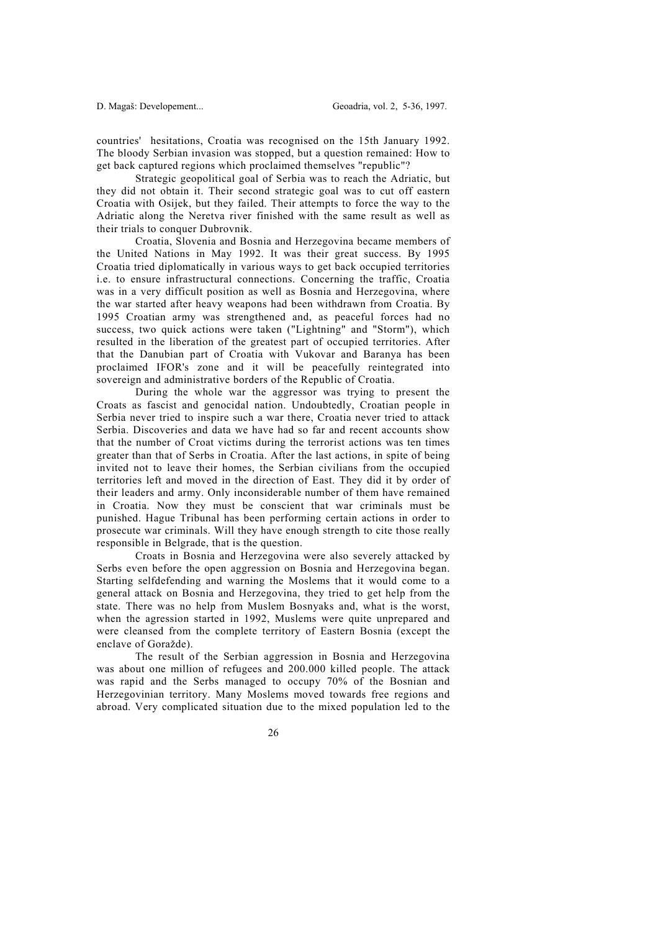countries' hesitations, Croatia was recognised on the 15th January 1992. The bloody Serbian invasion was stopped, but a question remained: How to get back captured regions which proclaimed themselves "republic"?

 Strategic geopolitical goal of Serbia was to reach the Adriatic, but they did not obtain it. Their second strategic goal was to cut off eastern Croatia with Osijek, but they failed. Their attempts to force the way to the Adriatic along the Neretva river finished with the same result as well as their trials to conquer Dubrovnik.

 Croatia, Slovenia and Bosnia and Herzegovina became members of the United Nations in May 1992. It was their great success. By 1995 Croatia tried diplomatically in various ways to get back occupied territories i.e. to ensure infrastructural connections. Concerning the traffic, Croatia was in a very difficult position as well as Bosnia and Herzegovina, where the war started after heavy weapons had been withdrawn from Croatia. By 1995 Croatian army was strengthened and, as peaceful forces had no success, two quick actions were taken ("Lightning" and "Storm"), which resulted in the liberation of the greatest part of occupied territories. After that the Danubian part of Croatia with Vukovar and Baranya has been proclaimed IFOR's zone and it will be peacefully reintegrated into sovereign and administrative borders of the Republic of Croatia.

 During the whole war the aggressor was trying to present the Croats as fascist and genocidal nation. Undoubtedly, Croatian people in Serbia never tried to inspire such a war there, Croatia never tried to attack Serbia. Discoveries and data we have had so far and recent accounts show that the number of Croat victims during the terrorist actions was ten times greater than that of Serbs in Croatia. After the last actions, in spite of being invited not to leave their homes, the Serbian civilians from the occupied territories left and moved in the direction of East. They did it by order of their leaders and army. Only inconsiderable number of them have remained in Croatia. Now they must be conscient that war criminals must be punished. Hague Tribunal has been performing certain actions in order to prosecute war criminals. Will they have enough strength to cite those really responsible in Belgrade, that is the question.

 Croats in Bosnia and Herzegovina were also severely attacked by Serbs even before the open aggression on Bosnia and Herzegovina began. Starting selfdefending and warning the Moslems that it would come to a general attack on Bosnia and Herzegovina, they tried to get help from the state. There was no help from Muslem Bosnyaks and, what is the worst, when the agression started in 1992, Muslems were quite unprepared and were cleansed from the complete territory of Eastern Bosnia (except the enclave of Goražde).

 The result of the Serbian aggression in Bosnia and Herzegovina was about one million of refugees and 200.000 killed people. The attack was rapid and the Serbs managed to occupy 70% of the Bosnian and Herzegovinian territory. Many Moslems moved towards free regions and abroad. Very complicated situation due to the mixed population led to the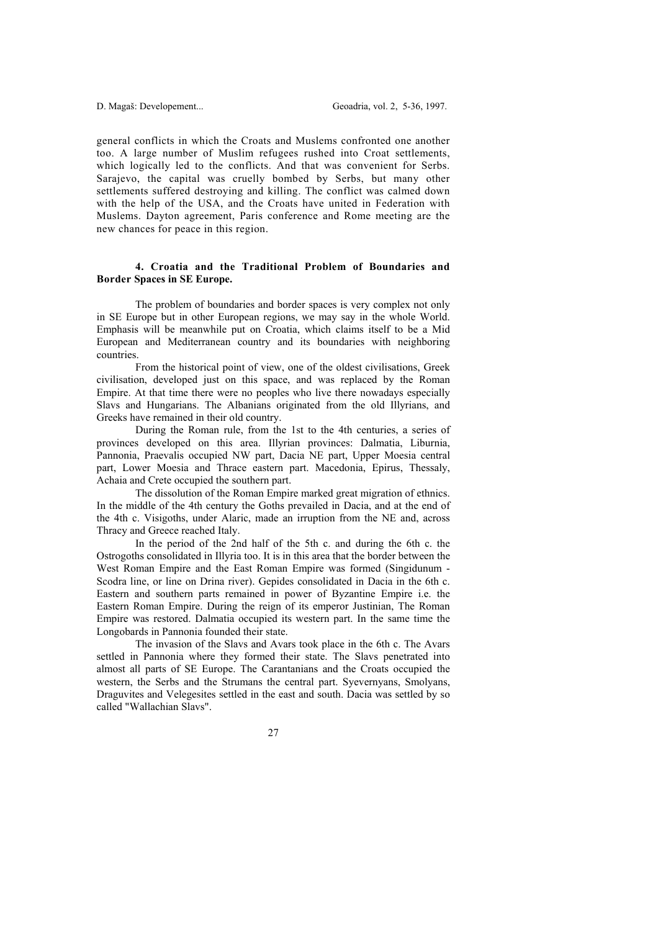general conflicts in which the Croats and Muslems confronted one another too. A large number of Muslim refugees rushed into Croat settlements, which logically led to the conflicts. And that was convenient for Serbs. Sarajevo, the capital was cruelly bombed by Serbs, but many other settlements suffered destroying and killing. The conflict was calmed down with the help of the USA, and the Croats have united in Federation with Muslems. Dayton agreement, Paris conference and Rome meeting are the new chances for peace in this region.

#### **4. Croatia and the Traditional Problem of Boundaries and Border Spaces in SE Europe.**

 The problem of boundaries and border spaces is very complex not only in SE Europe but in other European regions, we may say in the whole World. Emphasis will be meanwhile put on Croatia, which claims itself to be a Mid European and Mediterranean country and its boundaries with neighboring countries.

 From the historical point of view, one of the oldest civilisations, Greek civilisation, developed just on this space, and was replaced by the Roman Empire. At that time there were no peoples who live there nowadays especially Slavs and Hungarians. The Albanians originated from the old Illyrians, and Greeks have remained in their old country.

 During the Roman rule, from the 1st to the 4th centuries, a series of provinces developed on this area. Illyrian provinces: Dalmatia, Liburnia, Pannonia, Praevalis occupied NW part, Dacia NE part, Upper Moesia central part, Lower Moesia and Thrace eastern part. Macedonia, Epirus, Thessaly, Achaia and Crete occupied the southern part.

 The dissolution of the Roman Empire marked great migration of ethnics. In the middle of the 4th century the Goths prevailed in Dacia, and at the end of the 4th c. Visigoths, under Alaric, made an irruption from the NE and, across Thracy and Greece reached Italy.

 In the period of the 2nd half of the 5th c. and during the 6th c. the Ostrogoths consolidated in Illyria too. It is in this area that the border between the West Roman Empire and the East Roman Empire was formed (Singidunum - Scodra line, or line on Drina river). Gepides consolidated in Dacia in the 6th c. Eastern and southern parts remained in power of Byzantine Empire i.e. the Eastern Roman Empire. During the reign of its emperor Justinian, The Roman Empire was restored. Dalmatia occupied its western part. In the same time the Longobards in Pannonia founded their state.

 The invasion of the Slavs and Avars took place in the 6th c. The Avars settled in Pannonia where they formed their state. The Slavs penetrated into almost all parts of SE Europe. The Carantanians and the Croats occupied the western, the Serbs and the Strumans the central part. Syevernyans, Smolyans, Draguvites and Velegesites settled in the east and south. Dacia was settled by so called "Wallachian Slavs".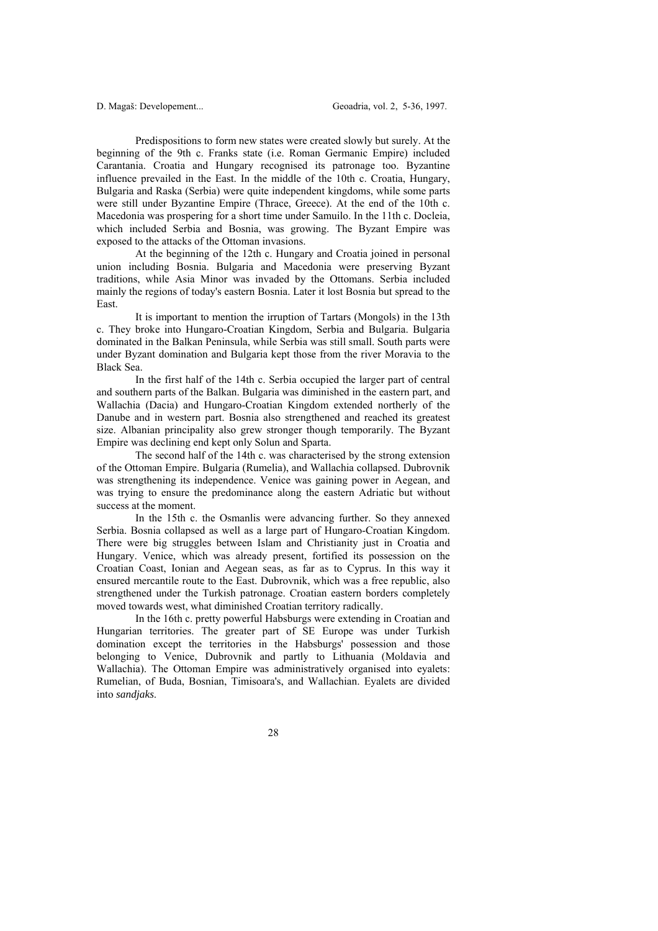Predispositions to form new states were created slowly but surely. At the beginning of the 9th c. Franks state (i.e. Roman Germanic Empire) included Carantania. Croatia and Hungary recognised its patronage too. Byzantine influence prevailed in the East. In the middle of the 10th c. Croatia, Hungary, Bulgaria and Raska (Serbia) were quite independent kingdoms, while some parts were still under Byzantine Empire (Thrace, Greece). At the end of the 10th c. Macedonia was prospering for a short time under Samuilo. In the 11th c. Docleia, which included Serbia and Bosnia, was growing. The Byzant Empire was exposed to the attacks of the Ottoman invasions.

 At the beginning of the 12th c. Hungary and Croatia joined in personal union including Bosnia. Bulgaria and Macedonia were preserving Byzant traditions, while Asia Minor was invaded by the Ottomans. Serbia included mainly the regions of today's eastern Bosnia. Later it lost Bosnia but spread to the East.

 It is important to mention the irruption of Tartars (Mongols) in the 13th c. They broke into Hungaro-Croatian Kingdom, Serbia and Bulgaria. Bulgaria dominated in the Balkan Peninsula, while Serbia was still small. South parts were under Byzant domination and Bulgaria kept those from the river Moravia to the Black Sea.

 In the first half of the 14th c. Serbia occupied the larger part of central and southern parts of the Balkan. Bulgaria was diminished in the eastern part, and Wallachia (Dacia) and Hungaro-Croatian Kingdom extended northerly of the Danube and in western part. Bosnia also strengthened and reached its greatest size. Albanian principality also grew stronger though temporarily. The Byzant Empire was declining end kept only Solun and Sparta.

 The second half of the 14th c. was characterised by the strong extension of the Ottoman Empire. Bulgaria (Rumelia), and Wallachia collapsed. Dubrovnik was strengthening its independence. Venice was gaining power in Aegean, and was trying to ensure the predominance along the eastern Adriatic but without success at the moment.

 In the 15th c. the Osmanlis were advancing further. So they annexed Serbia. Bosnia collapsed as well as a large part of Hungaro-Croatian Kingdom. There were big struggles between Islam and Christianity just in Croatia and Hungary. Venice, which was already present, fortified its possession on the Croatian Coast, Ionian and Aegean seas, as far as to Cyprus. In this way it ensured mercantile route to the East. Dubrovnik, which was a free republic, also strengthened under the Turkish patronage. Croatian eastern borders completely moved towards west, what diminished Croatian territory radically.

 In the 16th c. pretty powerful Habsburgs were extending in Croatian and Hungarian territories. The greater part of SE Europe was under Turkish domination except the territories in the Habsburgs' possession and those belonging to Venice, Dubrovnik and partly to Lithuania (Moldavia and Wallachia). The Ottoman Empire was administratively organised into eyalets: Rumelian, of Buda, Bosnian, Timisoara's, and Wallachian. Eyalets are divided into *sandjaks*.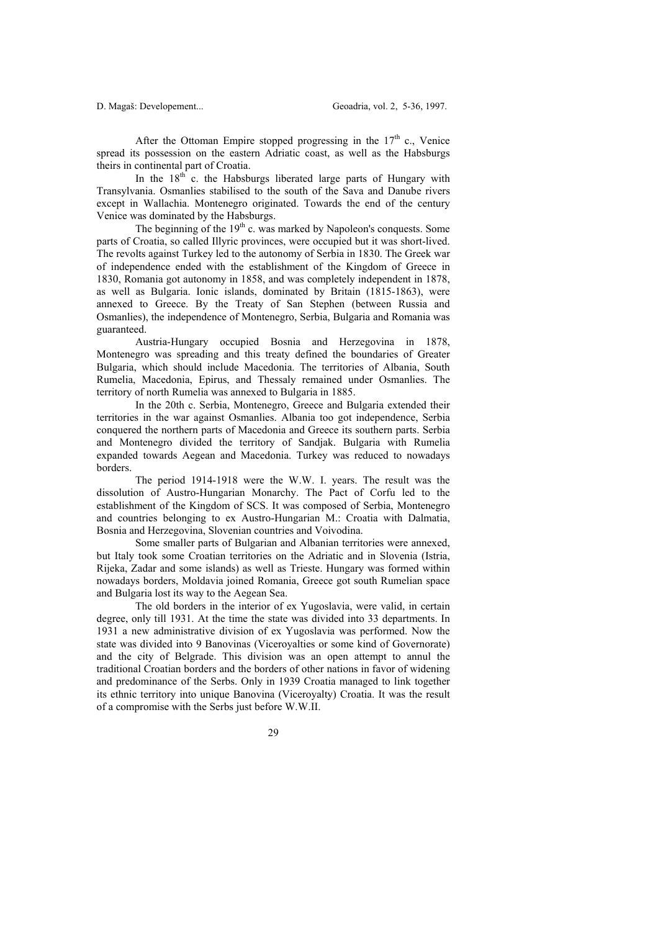After the Ottoman Empire stopped progressing in the  $17<sup>th</sup>$  c., Venice spread its possession on the eastern Adriatic coast, as well as the Habsburgs theirs in continental part of Croatia.

In the  $18<sup>th</sup>$  c. the Habsburgs liberated large parts of Hungary with Transylvania. Osmanlies stabilised to the south of the Sava and Danube rivers except in Wallachia. Montenegro originated. Towards the end of the century Venice was dominated by the Habsburgs.

The beginning of the  $19<sup>th</sup>$  c. was marked by Napoleon's conquests. Some parts of Croatia, so called Illyric provinces, were occupied but it was short-lived. The revolts against Turkey led to the autonomy of Serbia in 1830. The Greek war of independence ended with the establishment of the Kingdom of Greece in 1830, Romania got autonomy in 1858, and was completely independent in 1878, as well as Bulgaria. Ionic islands, dominated by Britain (1815-1863), were annexed to Greece. By the Treaty of San Stephen (between Russia and Osmanlies), the independence of Montenegro, Serbia, Bulgaria and Romania was guaranteed.

 Austria-Hungary occupied Bosnia and Herzegovina in 1878, Montenegro was spreading and this treaty defined the boundaries of Greater Bulgaria, which should include Macedonia. The territories of Albania, South Rumelia, Macedonia, Epirus, and Thessaly remained under Osmanlies. The territory of north Rumelia was annexed to Bulgaria in 1885.

 In the 20th c. Serbia, Montenegro, Greece and Bulgaria extended their territories in the war against Osmanlies. Albania too got independence, Serbia conquered the northern parts of Macedonia and Greece its southern parts. Serbia and Montenegro divided the territory of Sandjak. Bulgaria with Rumelia expanded towards Aegean and Macedonia. Turkey was reduced to nowadays borders.

 The period 1914-1918 were the W.W. I. years. The result was the dissolution of Austro-Hungarian Monarchy. The Pact of Corfu led to the establishment of the Kingdom of SCS. It was composed of Serbia, Montenegro and countries belonging to ex Austro-Hungarian M.: Croatia with Dalmatia, Bosnia and Herzegovina, Slovenian countries and Voivodina.

 Some smaller parts of Bulgarian and Albanian territories were annexed, but Italy took some Croatian territories on the Adriatic and in Slovenia (Istria, Rijeka, Zadar and some islands) as well as Trieste. Hungary was formed within nowadays borders, Moldavia joined Romania, Greece got south Rumelian space and Bulgaria lost its way to the Aegean Sea.

 The old borders in the interior of ex Yugoslavia, were valid, in certain degree, only till 1931. At the time the state was divided into 33 departments. In 1931 a new administrative division of ex Yugoslavia was performed. Now the state was divided into 9 Banovinas (Viceroyalties or some kind of Governorate) and the city of Belgrade. This division was an open attempt to annul the traditional Croatian borders and the borders of other nations in favor of widening and predominance of the Serbs. Only in 1939 Croatia managed to link together its ethnic territory into unique Banovina (Viceroyalty) Croatia. It was the result of a compromise with the Serbs just before W.W.II.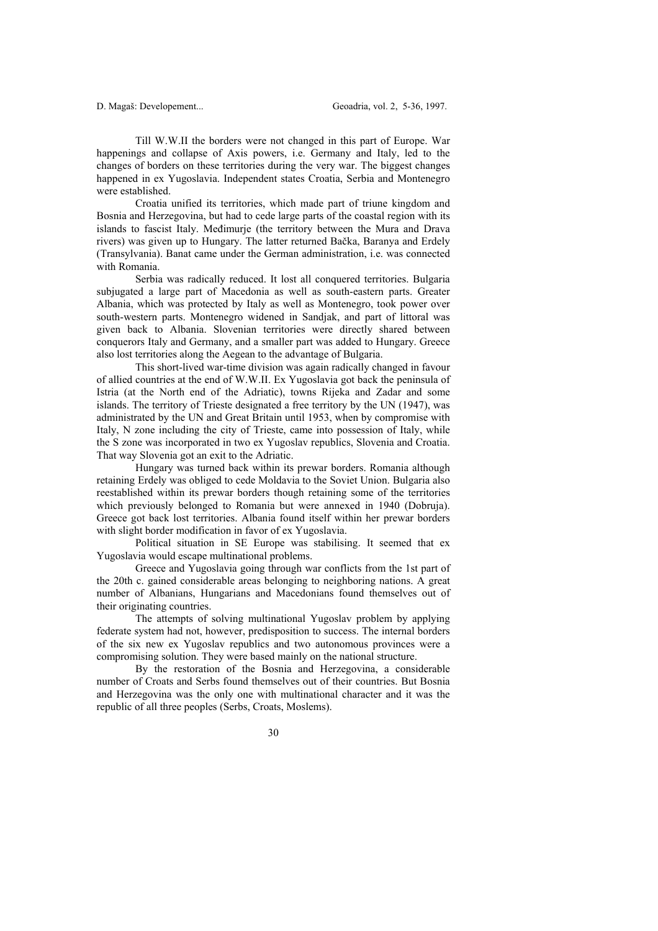Till W.W.II the borders were not changed in this part of Europe. War happenings and collapse of Axis powers, i.e. Germany and Italy, led to the changes of borders on these territories during the very war. The biggest changes happened in ex Yugoslavia. Independent states Croatia, Serbia and Montenegro were established.

 Croatia unified its territories, which made part of triune kingdom and Bosnia and Herzegovina, but had to cede large parts of the coastal region with its islands to fascist Italy. Međimurje (the territory between the Mura and Drava rivers) was given up to Hungary. The latter returned Bačka, Baranya and Erdely (Transylvania). Banat came under the German administration, i.e. was connected with Romania.

 Serbia was radically reduced. It lost all conquered territories. Bulgaria subjugated a large part of Macedonia as well as south-eastern parts. Greater Albania, which was protected by Italy as well as Montenegro, took power over south-western parts. Montenegro widened in Sandjak, and part of littoral was given back to Albania. Slovenian territories were directly shared between conquerors Italy and Germany, and a smaller part was added to Hungary. Greece also lost territories along the Aegean to the advantage of Bulgaria.

 This short-lived war-time division was again radically changed in favour of allied countries at the end of W.W.II. Ex Yugoslavia got back the peninsula of Istria (at the North end of the Adriatic), towns Rijeka and Zadar and some islands. The territory of Trieste designated a free territory by the UN (1947), was administrated by the UN and Great Britain until 1953, when by compromise with Italy, N zone including the city of Trieste, came into possession of Italy, while the S zone was incorporated in two ex Yugoslav republics, Slovenia and Croatia. That way Slovenia got an exit to the Adriatic.

 Hungary was turned back within its prewar borders. Romania although retaining Erdely was obliged to cede Moldavia to the Soviet Union. Bulgaria also reestablished within its prewar borders though retaining some of the territories which previously belonged to Romania but were annexed in 1940 (Dobruja). Greece got back lost territories. Albania found itself within her prewar borders with slight border modification in favor of ex Yugoslavia.

 Political situation in SE Europe was stabilising. It seemed that ex Yugoslavia would escape multinational problems.

 Greece and Yugoslavia going through war conflicts from the 1st part of the 20th c. gained considerable areas belonging to neighboring nations. A great number of Albanians, Hungarians and Macedonians found themselves out of their originating countries.

 The attempts of solving multinational Yugoslav problem by applying federate system had not, however, predisposition to success. The internal borders of the six new ex Yugoslav republics and two autonomous provinces were a compromising solution. They were based mainly on the national structure.

 By the restoration of the Bosnia and Herzegovina, a considerable number of Croats and Serbs found themselves out of their countries. But Bosnia and Herzegovina was the only one with multinational character and it was the republic of all three peoples (Serbs, Croats, Moslems).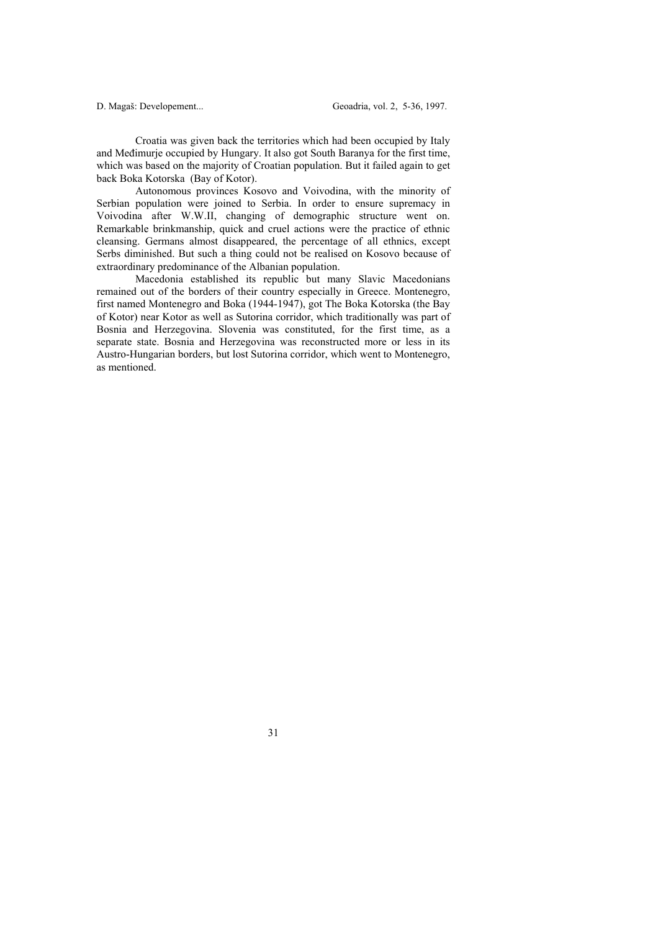Croatia was given back the territories which had been occupied by Italy and Međimurje occupied by Hungary. It also got South Baranya for the first time, which was based on the majority of Croatian population. But it failed again to get back Boka Kotorska (Bay of Kotor).

 Autonomous provinces Kosovo and Voivodina, with the minority of Serbian population were joined to Serbia. In order to ensure supremacy in Voivodina after W.W.II, changing of demographic structure went on. Remarkable brinkmanship, quick and cruel actions were the practice of ethnic cleansing. Germans almost disappeared, the percentage of all ethnics, except Serbs diminished. But such a thing could not be realised on Kosovo because of extraordinary predominance of the Albanian population.

 Macedonia established its republic but many Slavic Macedonians remained out of the borders of their country especially in Greece. Montenegro, first named Montenegro and Boka (1944-1947), got The Boka Kotorska (the Bay of Kotor) near Kotor as well as Sutorina corridor, which traditionally was part of Bosnia and Herzegovina. Slovenia was constituted, for the first time, as a separate state. Bosnia and Herzegovina was reconstructed more or less in its Austro-Hungarian borders, but lost Sutorina corridor, which went to Montenegro, as mentioned.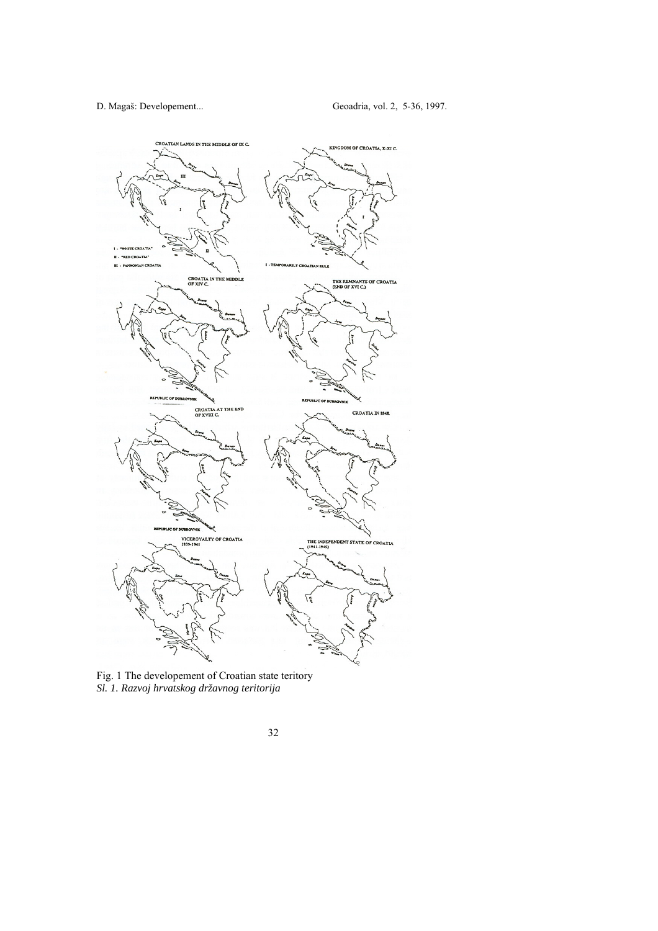

Fig. 1 The developement of Croatian state teritory *Sl. 1. Razvoj hrvatskog državnog teritorija*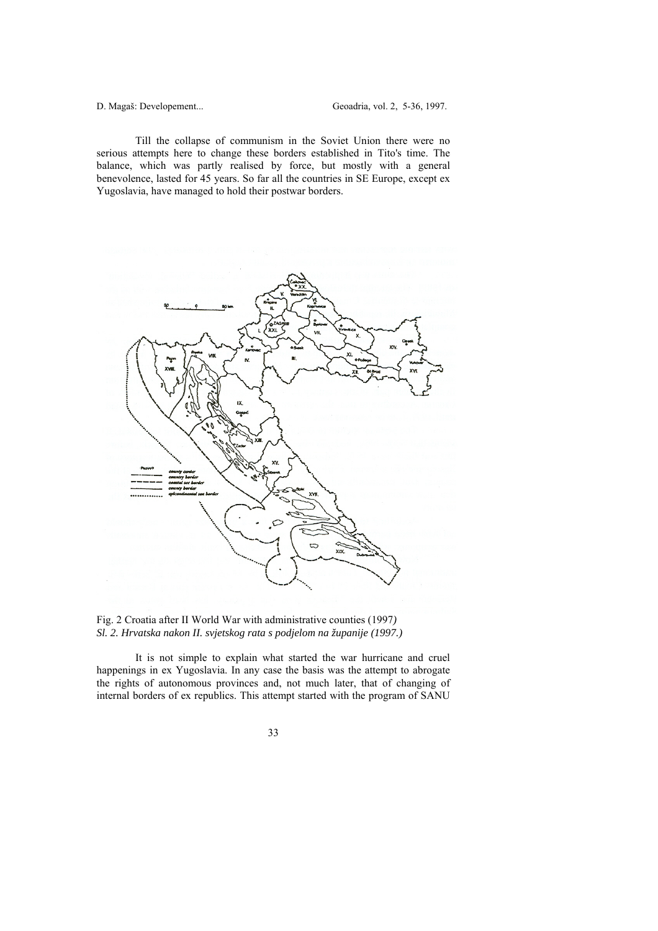Till the collapse of communism in the Soviet Union there were no serious attempts here to change these borders established in Tito's time. The balance, which was partly realised by force, but mostly with a general benevolence, lasted for 45 years. So far all the countries in SE Europe, except ex Yugoslavia, have managed to hold their postwar borders.





 It is not simple to explain what started the war hurricane and cruel happenings in ex Yugoslavia. In any case the basis was the attempt to abrogate the rights of autonomous provinces and, not much later, that of changing of internal borders of ex republics. This attempt started with the program of SANU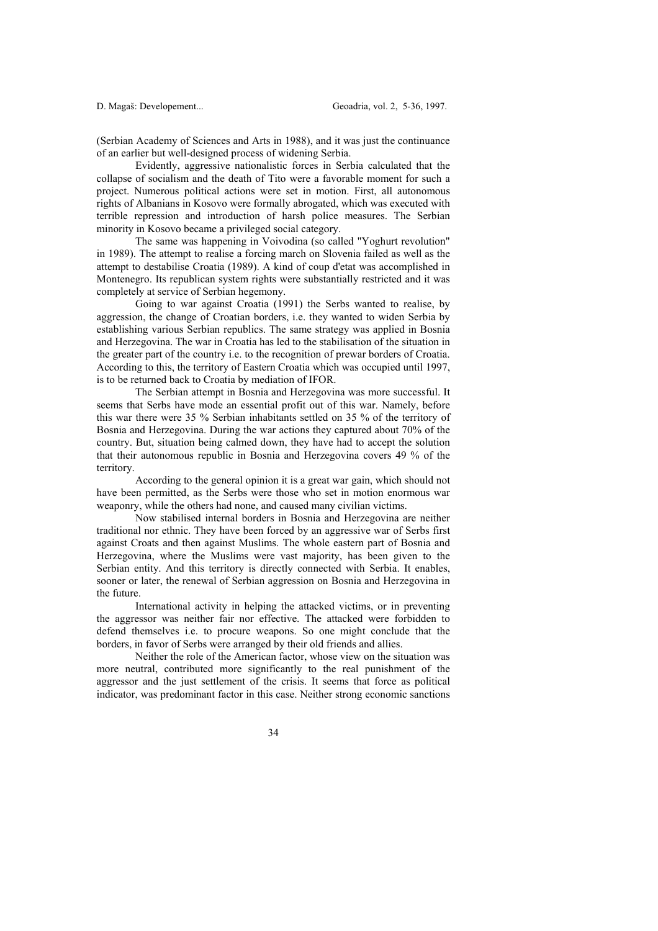(Serbian Academy of Sciences and Arts in 1988), and it was just the continuance of an earlier but well-designed process of widening Serbia.

 Evidently, aggressive nationalistic forces in Serbia calculated that the collapse of socialism and the death of Tito were a favorable moment for such a project. Numerous political actions were set in motion. First, all autonomous rights of Albanians in Kosovo were formally abrogated, which was executed with terrible repression and introduction of harsh police measures. The Serbian minority in Kosovo became a privileged social category.

 The same was happening in Voivodina (so called "Yoghurt revolution" in 1989). The attempt to realise a forcing march on Slovenia failed as well as the attempt to destabilise Croatia (1989). A kind of coup d'etat was accomplished in Montenegro. Its republican system rights were substantially restricted and it was completely at service of Serbian hegemony.

 Going to war against Croatia (1991) the Serbs wanted to realise, by aggression, the change of Croatian borders, i.e. they wanted to widen Serbia by establishing various Serbian republics. The same strategy was applied in Bosnia and Herzegovina. The war in Croatia has led to the stabilisation of the situation in the greater part of the country i.e. to the recognition of prewar borders of Croatia. According to this, the territory of Eastern Croatia which was occupied until 1997, is to be returned back to Croatia by mediation of IFOR.

 The Serbian attempt in Bosnia and Herzegovina was more successful. It seems that Serbs have mode an essential profit out of this war. Namely, before this war there were 35 % Serbian inhabitants settled on 35 % of the territory of Bosnia and Herzegovina. During the war actions they captured about 70% of the country. But, situation being calmed down, they have had to accept the solution that their autonomous republic in Bosnia and Herzegovina covers 49 % of the territory.

 According to the general opinion it is a great war gain, which should not have been permitted, as the Serbs were those who set in motion enormous war weaponry, while the others had none, and caused many civilian victims.

 Now stabilised internal borders in Bosnia and Herzegovina are neither traditional nor ethnic. They have been forced by an aggressive war of Serbs first against Croats and then against Muslims. The whole eastern part of Bosnia and Herzegovina, where the Muslims were vast majority, has been given to the Serbian entity. And this territory is directly connected with Serbia. It enables, sooner or later, the renewal of Serbian aggression on Bosnia and Herzegovina in the future.

 International activity in helping the attacked victims, or in preventing the aggressor was neither fair nor effective. The attacked were forbidden to defend themselves i.e. to procure weapons. So one might conclude that the borders, in favor of Serbs were arranged by their old friends and allies.

 Neither the role of the American factor, whose view on the situation was more neutral, contributed more significantly to the real punishment of the aggressor and the just settlement of the crisis. It seems that force as political indicator, was predominant factor in this case. Neither strong economic sanctions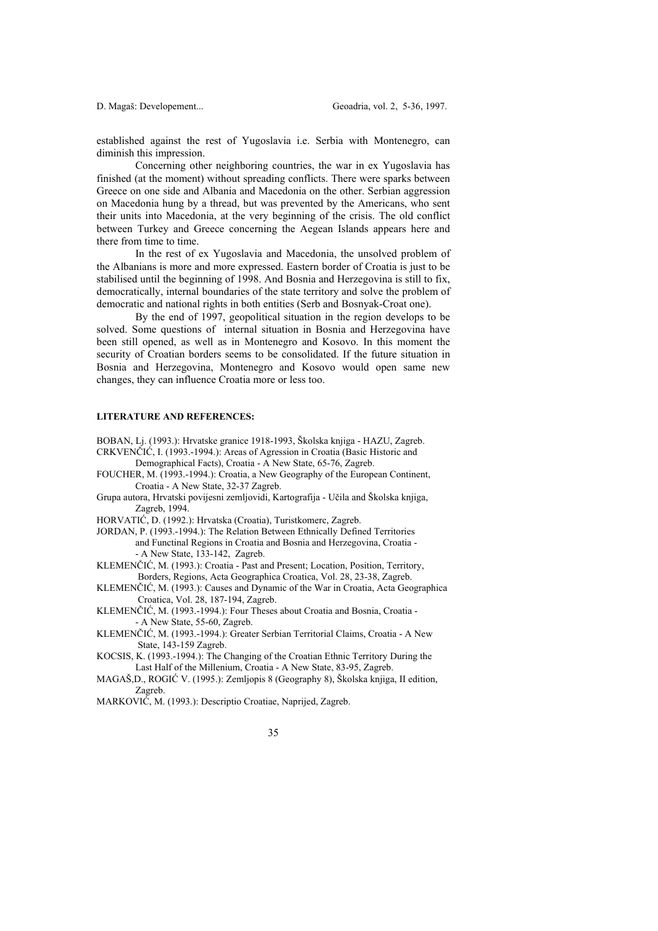established against the rest of Yugoslavia i.e. Serbia with Montenegro, can diminish this impression.

 Concerning other neighboring countries, the war in ex Yugoslavia has finished (at the moment) without spreading conflicts. There were sparks between Greece on one side and Albania and Macedonia on the other. Serbian aggression on Macedonia hung by a thread, but was prevented by the Americans, who sent their units into Macedonia, at the very beginning of the crisis. The old conflict between Turkey and Greece concerning the Aegean Islands appears here and there from time to time.

 In the rest of ex Yugoslavia and Macedonia, the unsolved problem of the Albanians is more and more expressed. Eastern border of Croatia is just to be stabilised until the beginning of 1998. And Bosnia and Herzegovina is still to fix, democratically, internal boundaries of the state territory and solve the problem of democratic and national rights in both entities (Serb and Bosnyak-Croat one).

 By the end of 1997, geopolitical situation in the region develops to be solved. Some questions of internal situation in Bosnia and Herzegovina have been still opened, as well as in Montenegro and Kosovo. In this moment the security of Croatian borders seems to be consolidated. If the future situation in Bosnia and Herzegovina, Montenegro and Kosovo would open same new changes, they can influence Croatia more or less too.

### **LITERATURE AND REFERENCES:**

BOBAN, Lj. (1993.): Hrvatske granice 1918-1993, Školska knjiga - HAZU, Zagreb.

- CRKVENČIĆ, I. (1993.-1994.): Areas of Agression in Croatia (Basic Historic and Demographical Facts), Croatia - A New State, 65-76, Zagreb.
- FOUCHER, M. (1993.-1994.): Croatia, a New Geography of the European Continent, Croatia - A New State, 32-37 Zagreb.
- Grupa autora, Hrvatski povijesni zemljovidi, Kartografija Učila and Školska knjiga, Zagreb, 1994.
- HORVATIĆ, D. (1992.): Hrvatska (Croatia), Turistkomerc, Zagreb.
- JORDAN, P. (1993.-1994.): The Relation Between Ethnically Defined Territories and Functinal Regions in Croatia and Bosnia and Herzegovina, Croatia - - A New State, 133-142, Zagreb.
- KLEMENČIĆ, M. (1993.): Croatia Past and Present; Location, Position, Territory, Borders, Regions, Acta Geographica Croatica, Vol. 28, 23-38, Zagreb.
- KLEMENČIĆ, M. (1993.): Causes and Dynamic of the War in Croatia, Acta Geographica Croatica, Vol. 28, 187-194, Zagreb.
- KLEMENČIĆ, M. (1993.-1994.): Four Theses about Croatia and Bosnia, Croatia - A New State, 55-60, Zagreb.
- KLEMENČIĆ, M. (1993.-1994.): Greater Serbian Territorial Claims, Croatia A New State, 143-159 Zagreb.

KOCSIS, K. (1993.-1994.): The Changing of the Croatian Ethnic Territory During the Last Half of the Millenium, Croatia - A New State, 83-95, Zagreb.

- MAGAŠ,D., ROGIĆ V. (1995.): Zemljopis 8 (Geography 8), Školska knjiga, II edition, Zagreb.
- MARKOVIĆ, M. (1993.): Descriptio Croatiae, Naprijed, Zagreb.
	- 35